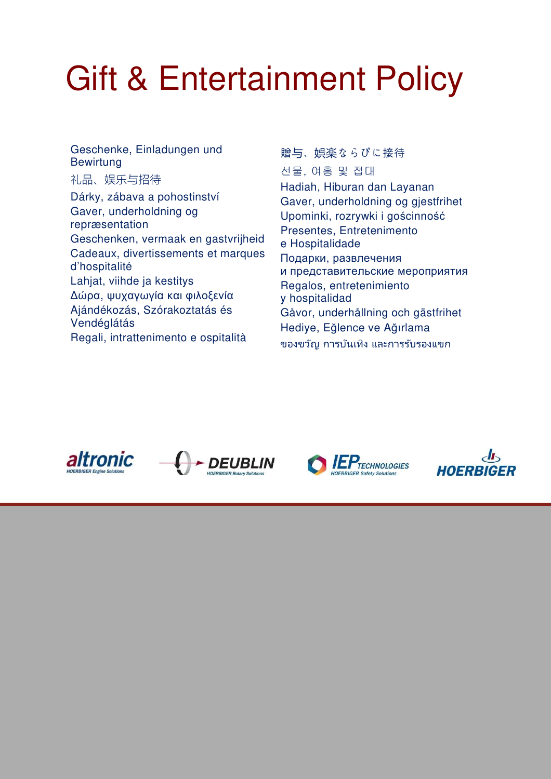# Gift & Entertainment Policy

Geschenke, Einladungen und **Bewirtung** 

礼品、娱乐与招待 Dárky, zábava a pohostinství Gaver, underholdning og repræsentation Geschenken, vermaak en gastvrijheid Cadeaux, divertissements et marques d'hospitalité Lahjat, viihde ja kestitys Δώρα, ψυχαγωγία και φιλοξενία Ajándékozás, Szórakoztatás és Vendéglátás Regali, intrattenimento e ospitalità

贈与、娯楽ならびに接待 선물, 여흥 및 접대 Hadiah, Hiburan dan Layanan Gaver, underholdning og gjestfrihet Upominki, rozrywki i gościnność Presentes, Entretenimento e Hospitalidade Подарки, развлечения и представительские мероприятия Regalos, entretenimiento y hospitalidad Gåvor, underhållning och gästfrihet Hediye, Eğlence ve Ağırlama ของขวัญ การบันเทิง และการรับรองแขก



**DEUBLIN** 



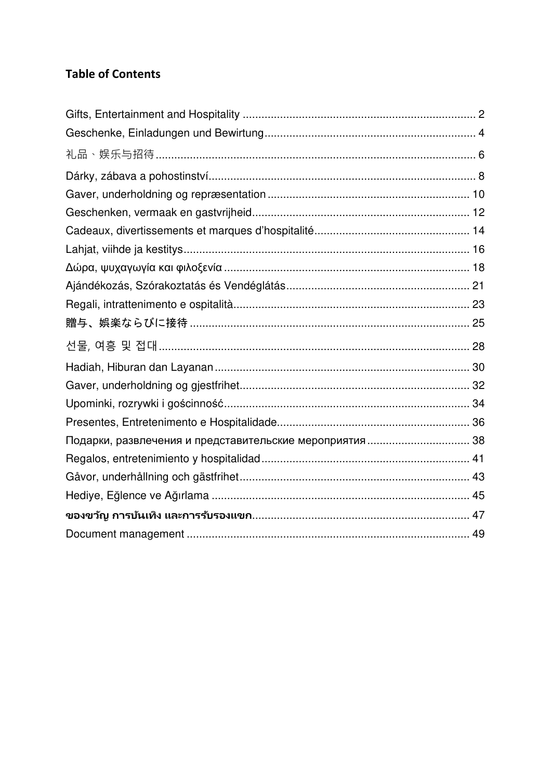# **Table of Contents**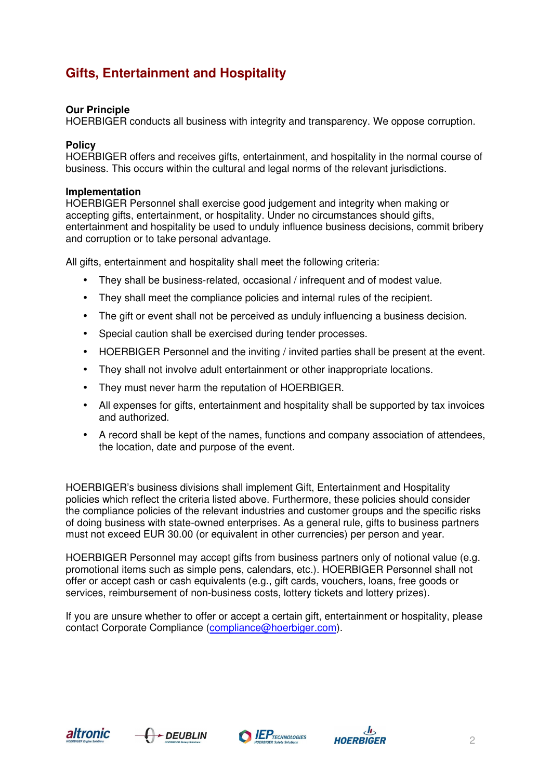# **Gifts, Entertainment and Hospitality**

# **Our Principle**

HOERBIGER conducts all business with integrity and transparency. We oppose corruption.

# **Policy**

HOERBIGER offers and receives gifts, entertainment, and hospitality in the normal course of business. This occurs within the cultural and legal norms of the relevant jurisdictions.

## **Implementation**

HOERBIGER Personnel shall exercise good judgement and integrity when making or accepting gifts, entertainment, or hospitality. Under no circumstances should gifts, entertainment and hospitality be used to unduly influence business decisions, commit bribery and corruption or to take personal advantage.

All gifts, entertainment and hospitality shall meet the following criteria:

- They shall be business-related, occasional / infrequent and of modest value.
- They shall meet the compliance policies and internal rules of the recipient.
- The gift or event shall not be perceived as unduly influencing a business decision.
- Special caution shall be exercised during tender processes.
- HOERBIGER Personnel and the inviting / invited parties shall be present at the event.
- They shall not involve adult entertainment or other inappropriate locations.
- They must never harm the reputation of HOERBIGER.
- All expenses for gifts, entertainment and hospitality shall be supported by tax invoices and authorized.
- A record shall be kept of the names, functions and company association of attendees, the location, date and purpose of the event.

HOERBIGER's business divisions shall implement Gift, Entertainment and Hospitality policies which reflect the criteria listed above. Furthermore, these policies should consider the compliance policies of the relevant industries and customer groups and the specific risks of doing business with state-owned enterprises. As a general rule, gifts to business partners must not exceed EUR 30.00 (or equivalent in other currencies) per person and year.

HOERBIGER Personnel may accept gifts from business partners only of notional value (e.g. promotional items such as simple pens, calendars, etc.). HOERBIGER Personnel shall not offer or accept cash or cash equivalents (e.g., gift cards, vouchers, loans, free goods or services, reimbursement of non-business costs, lottery tickets and lottery prizes).

If you are unsure whether to offer or accept a certain gift, entertainment or hospitality, please contact Corporate Compliance (compliance@hoerbiger.com).







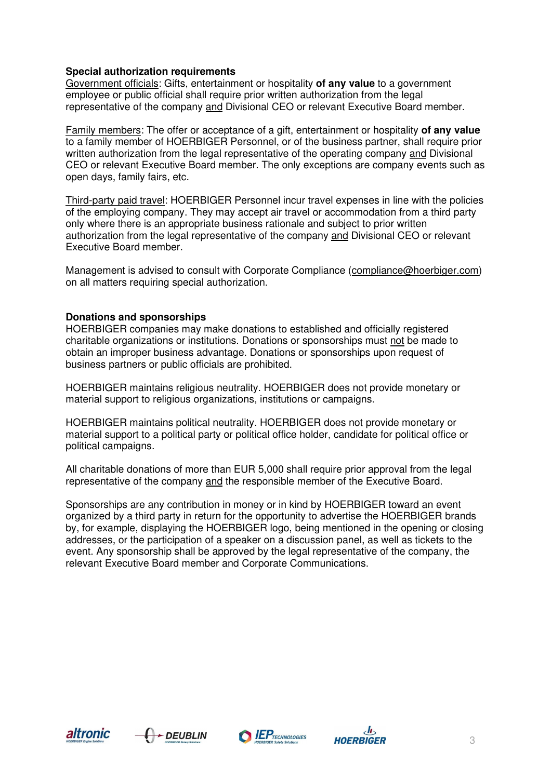# **Special authorization requirements**

Government officials: Gifts, entertainment or hospitality **of any value** to a government employee or public official shall require prior written authorization from the legal representative of the company and Divisional CEO or relevant Executive Board member.

Family members: The offer or acceptance of a gift, entertainment or hospitality **of any value** to a family member of HOERBIGER Personnel, or of the business partner, shall require prior written authorization from the legal representative of the operating company and Divisional CEO or relevant Executive Board member. The only exceptions are company events such as open days, family fairs, etc.

Third-party paid travel: HOERBIGER Personnel incur travel expenses in line with the policies of the employing company. They may accept air travel or accommodation from a third party only where there is an appropriate business rationale and subject to prior written authorization from the legal representative of the company and Divisional CEO or relevant Executive Board member.

Management is advised to consult with Corporate Compliance (compliance@hoerbiger.com) on all matters requiring special authorization.

## **Donations and sponsorships**

HOERBIGER companies may make donations to established and officially registered charitable organizations or institutions. Donations or sponsorships must not be made to obtain an improper business advantage. Donations or sponsorships upon request of business partners or public officials are prohibited.

HOERBIGER maintains religious neutrality. HOERBIGER does not provide monetary or material support to religious organizations, institutions or campaigns.

HOERBIGER maintains political neutrality. HOERBIGER does not provide monetary or material support to a political party or political office holder, candidate for political office or political campaigns.

All charitable donations of more than EUR 5,000 shall require prior approval from the legal representative of the company and the responsible member of the Executive Board.

Sponsorships are any contribution in money or in kind by HOERBIGER toward an event organized by a third party in return for the opportunity to advertise the HOERBIGER brands by, for example, displaying the HOERBIGER logo, being mentioned in the opening or closing addresses, or the participation of a speaker on a discussion panel, as well as tickets to the event. Any sponsorship shall be approved by the legal representative of the company, the relevant Executive Board member and Corporate Communications.







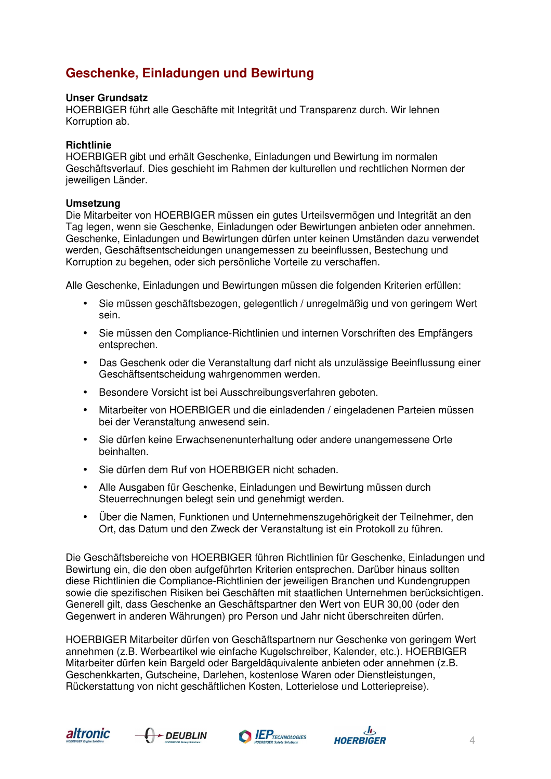# **Geschenke, Einladungen und Bewirtung**

# **Unser Grundsatz**

HOERBIGER führt alle Geschäfte mit Integrität und Transparenz durch. Wir lehnen Korruption ab.

# **Richtlinie**

HOERBIGER gibt und erhält Geschenke, Einladungen und Bewirtung im normalen Geschäftsverlauf. Dies geschieht im Rahmen der kulturellen und rechtlichen Normen der jeweiligen Länder.

# **Umsetzung**

Die Mitarbeiter von HOERBIGER müssen ein gutes Urteilsvermögen und Integrität an den Tag legen, wenn sie Geschenke, Einladungen oder Bewirtungen anbieten oder annehmen. Geschenke, Einladungen und Bewirtungen dürfen unter keinen Umständen dazu verwendet werden, Geschäftsentscheidungen unangemessen zu beeinflussen, Bestechung und Korruption zu begehen, oder sich persönliche Vorteile zu verschaffen.

Alle Geschenke, Einladungen und Bewirtungen müssen die folgenden Kriterien erfüllen:

- Sie müssen geschäftsbezogen, gelegentlich / unregelmäßig und von geringem Wert sein.
- Sie müssen den Compliance-Richtlinien und internen Vorschriften des Empfängers entsprechen.
- Das Geschenk oder die Veranstaltung darf nicht als unzulässige Beeinflussung einer Geschäftsentscheidung wahrgenommen werden.
- Besondere Vorsicht ist bei Ausschreibungsverfahren geboten.
- Mitarbeiter von HOERBIGER und die einladenden / eingeladenen Parteien müssen bei der Veranstaltung anwesend sein.
- Sie dürfen keine Erwachsenenunterhaltung oder andere unangemessene Orte beinhalten.
- Sie dürfen dem Ruf von HOERBIGER nicht schaden.
- Alle Ausgaben für Geschenke, Einladungen und Bewirtung müssen durch Steuerrechnungen belegt sein und genehmigt werden.
- Über die Namen, Funktionen und Unternehmenszugehörigkeit der Teilnehmer, den Ort, das Datum und den Zweck der Veranstaltung ist ein Protokoll zu führen.

Die Geschäftsbereiche von HOERBIGER führen Richtlinien für Geschenke, Einladungen und Bewirtung ein, die den oben aufgeführten Kriterien entsprechen. Darüber hinaus sollten diese Richtlinien die Compliance-Richtlinien der jeweiligen Branchen und Kundengruppen sowie die spezifischen Risiken bei Geschäften mit staatlichen Unternehmen berücksichtigen. Generell gilt, dass Geschenke an Geschäftspartner den Wert von EUR 30,00 (oder den Gegenwert in anderen Währungen) pro Person und Jahr nicht überschreiten dürfen.

HOERBIGER Mitarbeiter dürfen von Geschäftspartnern nur Geschenke von geringem Wert annehmen (z.B. Werbeartikel wie einfache Kugelschreiber, Kalender, etc.). HOERBIGER Mitarbeiter dürfen kein Bargeld oder Bargeldäquivalente anbieten oder annehmen (z.B. Geschenkkarten, Gutscheine, Darlehen, kostenlose Waren oder Dienstleistungen, Rückerstattung von nicht geschäftlichen Kosten, Lotterielose und Lotteriepreise).







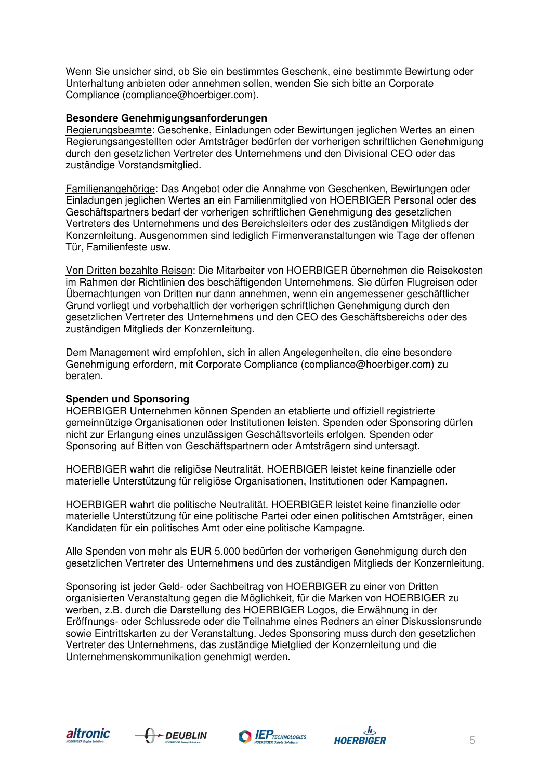Wenn Sie unsicher sind, ob Sie ein bestimmtes Geschenk, eine bestimmte Bewirtung oder Unterhaltung anbieten oder annehmen sollen, wenden Sie sich bitte an Corporate Compliance (compliance@hoerbiger.com).

## **Besondere Genehmigungsanforderungen**

Regierungsbeamte: Geschenke, Einladungen oder Bewirtungen jeglichen Wertes an einen Regierungsangestellten oder Amtsträger bedürfen der vorherigen schriftlichen Genehmigung durch den gesetzlichen Vertreter des Unternehmens und den Divisional CEO oder das zuständige Vorstandsmitglied.

Familienangehörige: Das Angebot oder die Annahme von Geschenken, Bewirtungen oder Einladungen jeglichen Wertes an ein Familienmitglied von HOERBIGER Personal oder des Geschäftspartners bedarf der vorherigen schriftlichen Genehmigung des gesetzlichen Vertreters des Unternehmens und des Bereichsleiters oder des zuständigen Mitglieds der Konzernleitung. Ausgenommen sind lediglich Firmenveranstaltungen wie Tage der offenen Tür, Familienfeste usw.

Von Dritten bezahlte Reisen: Die Mitarbeiter von HOERBIGER übernehmen die Reisekosten im Rahmen der Richtlinien des beschäftigenden Unternehmens. Sie dürfen Flugreisen oder Übernachtungen von Dritten nur dann annehmen, wenn ein angemessener geschäftlicher Grund vorliegt und vorbehaltlich der vorherigen schriftlichen Genehmigung durch den gesetzlichen Vertreter des Unternehmens und den CEO des Geschäftsbereichs oder des zuständigen Mitglieds der Konzernleitung.

Dem Management wird empfohlen, sich in allen Angelegenheiten, die eine besondere Genehmigung erfordern, mit Corporate Compliance (compliance@hoerbiger.com) zu beraten.

# **Spenden und Sponsoring**

HOERBIGER Unternehmen können Spenden an etablierte und offiziell registrierte gemeinnützige Organisationen oder Institutionen leisten. Spenden oder Sponsoring dürfen nicht zur Erlangung eines unzulässigen Geschäftsvorteils erfolgen. Spenden oder Sponsoring auf Bitten von Geschäftspartnern oder Amtsträgern sind untersagt.

HOERBIGER wahrt die religiöse Neutralität. HOERBIGER leistet keine finanzielle oder materielle Unterstützung für religiöse Organisationen, Institutionen oder Kampagnen.

HOERBIGER wahrt die politische Neutralität. HOERBIGER leistet keine finanzielle oder materielle Unterstützung für eine politische Partei oder einen politischen Amtsträger, einen Kandidaten für ein politisches Amt oder eine politische Kampagne.

Alle Spenden von mehr als EUR 5.000 bedürfen der vorherigen Genehmigung durch den gesetzlichen Vertreter des Unternehmens und des zuständigen Mitglieds der Konzernleitung.

Sponsoring ist jeder Geld- oder Sachbeitrag von HOERBIGER zu einer von Dritten organisierten Veranstaltung gegen die Möglichkeit, für die Marken von HOERBIGER zu werben, z.B. durch die Darstellung des HOERBIGER Logos, die Erwähnung in der Eröffnungs- oder Schlussrede oder die Teilnahme eines Redners an einer Diskussionsrunde sowie Eintrittskarten zu der Veranstaltung. Jedes Sponsoring muss durch den gesetzlichen Vertreter des Unternehmens, das zuständige Mietglied der Konzernleitung und die Unternehmenskommunikation genehmigt werden.







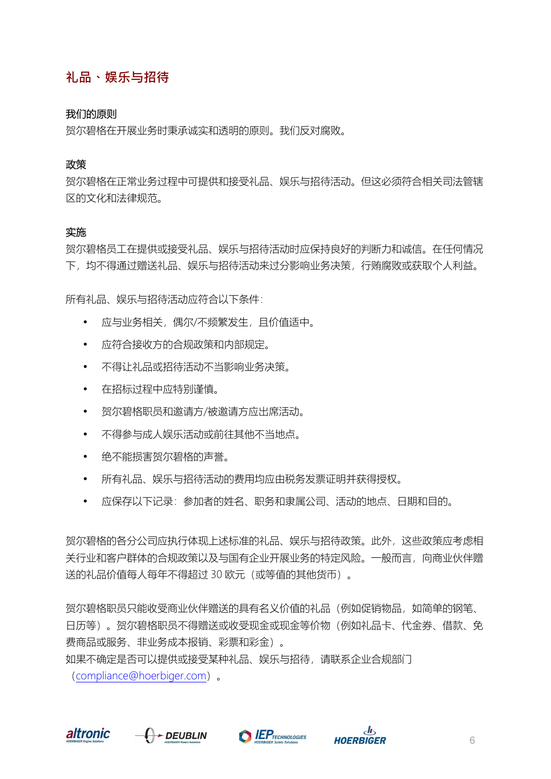# **礼品、娱乐与招待**

# 我们的原则

贺尔碧格在开展业务时秉承诚实和透明的原则。我们反对腐败。

# 政策

贺尔碧格在正常业务过程中可提供和接受礼品、娱乐与招待活动。但这必须符合相关司法管辖 区的文化和法律规范。

# 实施

贺尔碧格员工在提供或接受礼品、娱乐与招待活动时应保持良好的判断力和诚信。在任何情况 下,均不得通过赠送礼品、娱乐与招待活动来过分影响业务决策,行贿腐败或获取个人利益。

所有礼品、娱乐与招待活动应符合以下条件:

- 应与业务相关,偶尔/不频繁发生,且价值适中。
- 应符合接收方的合规政策和内部规定。
- 不得让礼品或招待活动不当影响业务决策。
- 在招标过程中应特别谨慎。
- 贺尔碧格职员和邀请方/被邀请方应出席活动。
- 不得参与成人娱乐活动或前往其他不当地点。
- 绝不能损害贺尔碧格的声誉。
- 所有礼品、娱乐与招待活动的费用均应由税务发票证明并获得授权。
- 应保存以下记录:参加者的姓名、职务和隶属公司、活动的地点、日期和目的。

贺尔碧格的各分公司应执行体现上述标准的礼品、娱乐与招待政策。此外,这些政策应考虑相 关行业和客户群体的合规政策以及与国有企业开展业务的特定风险。一般而言,向商业伙伴赠 送的礼品价值每人每年不得超过 30 欧元(或等值的其他货币)。

贺尔碧格职员只能收受商业伙伴赠送的具有名义价值的礼品(例如促销物品,如简单的钢笔、 日历等)。贺尔碧格职员不得赠送或收受现金或现金等价物(例如礼品卡、代金券、借款、免 费商品或服务、非业务成本报销、彩票和彩金)。

如果不确定是否可以提供或接受某种礼品、娱乐与招待,请联系企业合规部门

(compliance@hoerbiger.com)。







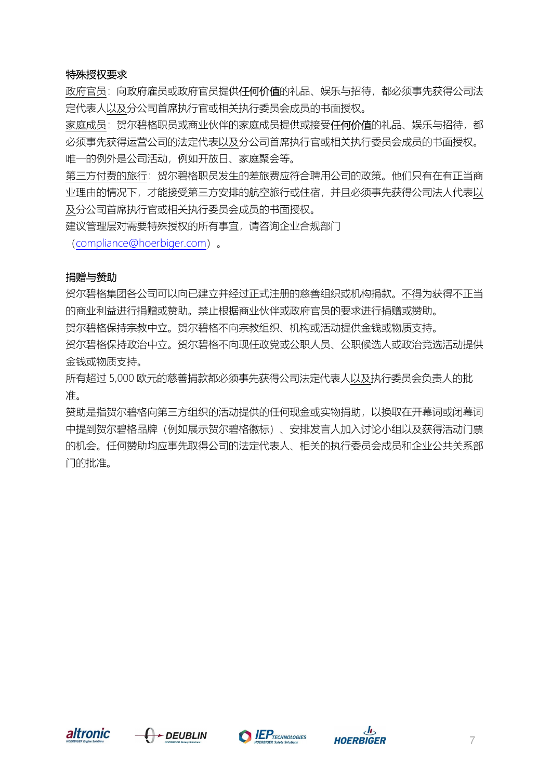# 特殊授权要求

政府官员:向政府雇员或政府官员提供任何价值的礼品、娱乐与招待,都必须事先获得公司法 定代表人以及分公司首席执行官或相关执行委员会成员的书面授权。

家庭成员:贺尔碧格职员或商业伙伴的家庭成员提供或接受任何价值的礼品、娱乐与招待,都 必须事先获得运营公司的法定代表以及分公司首席执行官或相关执行委员会成员的书面授权。 唯一的例外是公司活动,例如开放日、家庭聚会等。

第三方付费的旅行: 贺尔碧格职员发生的差旅费应符合聘用公司的政策。他们只有在有正当商 业理由的情况下,才能接受第三方安排的航空旅行或住宿,并且必须事先获得公司法人代表以 及分公司首席执行官或相关执行委员会成员的书面授权。

建议管理层对需要特殊授权的所有事宜,请咨询企业合规部门

(compliance@hoerbiger.com)。

#### 捐赠与赞助

贺尔碧格集团各公司可以向已建立并经过正式注册的慈善组织或机构捐款。不得为获得不正当 的商业利益进行捐赠或赞助。禁止根据商业伙伴或政府官员的要求进行捐赠或赞助。 贺尔碧格保持宗教中立。贺尔碧格不向宗教组织、机构或活动提供金钱或物质支持。 贺尔碧格保持政治中立。贺尔碧格不向现任政党或公职人员、公职候选人或政治竞选活动提供 金钱或物质支持。

所有超过 5,000 欧元的慈善捐款都必须事先获得公司法定代表人以及执行委员会负责人的批 准。

赞助是指贺尔碧格向第三方组织的活动提供的任何现金或实物捐助,以换取在开幕词或闭幕词 中提到贺尔碧格品牌(例如展示贺尔碧格徽标)、安排发言人加入讨论小组以及获得活动门票 的机会。任何赞助均应事先取得公司的法定代表人、相关的执行委员会成员和企业公共关系部 门的批准。







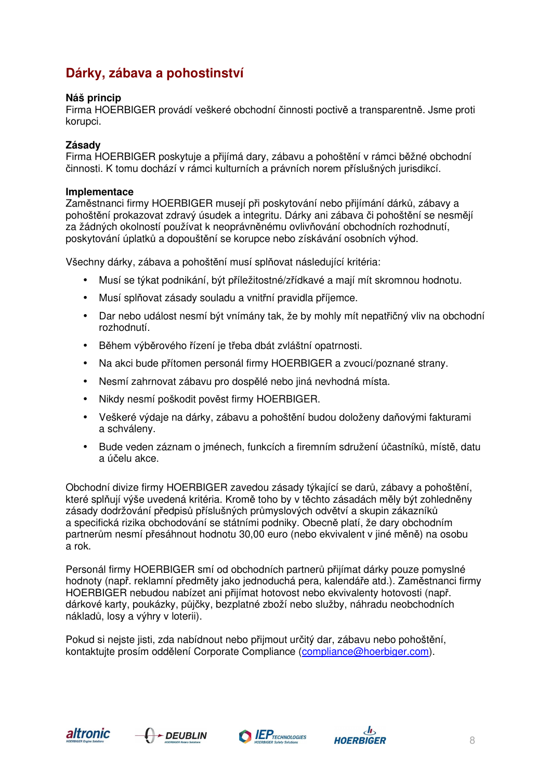# **Dárky, zábava a pohostinství**

# **Náš princip**

Firma HOERBIGER provádí veškeré obchodní činnosti poctivě a transparentně. Jsme proti korupci.

# **Zásady**

Firma HOERBIGER poskytuje a přijímá dary, zábavu a pohoštění v rámci běžné obchodní činnosti. K tomu dochází v rámci kulturních a právních norem příslušných jurisdikcí.

# **Implementace**

Zaměstnanci firmy HOERBIGER musejí při poskytování nebo přijímání dárků, zábavy a pohoštění prokazovat zdravý úsudek a integritu. Dárky ani zábava či pohoštění se nesmějí za žádných okolností používat k neoprávněnému ovlivňování obchodních rozhodnutí, poskytování úplatků a dopouštění se korupce nebo získávání osobních výhod.

Všechny dárky, zábava a pohoštění musí splňovat následující kritéria:

- Musí se týkat podnikání, být příležitostné/zřídkavé a mají mít skromnou hodnotu.
- Musí splňovat zásady souladu a vnitřní pravidla příjemce.
- Dar nebo událost nesmí být vnímány tak, že by mohly mít nepatřičný vliv na obchodní rozhodnutí.
- Během výběrového řízení je třeba dbát zvláštní opatrnosti.
- Na akci bude přítomen personál firmy HOERBIGER a zvoucí/poznané strany.
- Nesmí zahrnovat zábavu pro dospělé nebo jiná nevhodná místa.
- Nikdy nesmí poškodit pověst firmy HOERBIGER.
- Veškeré výdaje na dárky, zábavu a pohoštění budou doloženy daňovými fakturami a schváleny.
- Bude veden záznam o jménech, funkcích a firemním sdružení účastníků, místě, datu a účelu akce.

Obchodní divize firmy HOERBIGER zavedou zásady týkající se darů, zábavy a pohoštění, které splňují výše uvedená kritéria. Kromě toho by v těchto zásadách měly být zohledněny zásady dodržování předpisů příslušných průmyslových odvětví a skupin zákazníků a specifická rizika obchodování se státními podniky. Obecně platí, že dary obchodním partnerům nesmí přesáhnout hodnotu 30,00 euro (nebo ekvivalent v jiné měně) na osobu a rok.

Personál firmy HOERBIGER smí od obchodních partnerů přijímat dárky pouze pomyslné hodnoty (např. reklamní předměty jako jednoduchá pera, kalendáře atd.). Zaměstnanci firmy HOERBIGER nebudou nabízet ani přijímat hotovost nebo ekvivalenty hotovosti (např. dárkové karty, poukázky, půjčky, bezplatné zboží nebo služby, náhradu neobchodních nákladů, losy a výhry v loterii).

Pokud si nejste jisti, zda nabídnout nebo přijmout určitý dar, zábavu nebo pohoštění, kontaktujte prosím oddělení Corporate Compliance (compliance@hoerbiger.com).







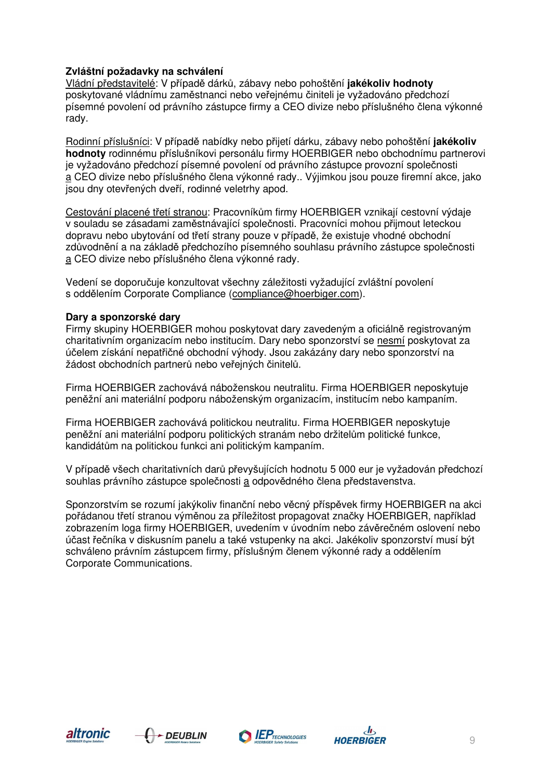# **Zvláštní požadavky na schválení**

Vládní představitelé: V případě dárků, zábavy nebo pohoštění **jakékoliv hodnoty** poskytované vládnímu zaměstnanci nebo veřejnému činiteli je vyžadováno předchozí písemné povolení od právního zástupce firmy a CEO divize nebo příslušného člena výkonné rady.

Rodinní příslušníci: V případě nabídky nebo přijetí dárku, zábavy nebo pohoštění **jakékoliv hodnoty** rodinnému příslušníkovi personálu firmy HOERBIGER nebo obchodnímu partnerovi je vyžadováno předchozí písemné povolení od právního zástupce provozní společnosti a CEO divize nebo příslušného člena výkonné rady.. Výjimkou jsou pouze firemní akce, jako jsou dny otevřených dveří, rodinné veletrhy apod.

Cestování placené třetí stranou: Pracovníkům firmy HOERBIGER vznikají cestovní výdaje v souladu se zásadami zaměstnávající společnosti. Pracovníci mohou přijmout leteckou dopravu nebo ubytování od třetí strany pouze v případě, že existuje vhodné obchodní zdůvodnění a na základě předchozího písemného souhlasu právního zástupce společnosti a CEO divize nebo příslušného člena výkonné rady.

Vedení se doporučuje konzultovat všechny záležitosti vyžadující zvláštní povolení s oddělením Corporate Compliance (compliance@hoerbiger.com).

# **Dary a sponzorské dary**

Firmy skupiny HOERBIGER mohou poskytovat dary zavedeným a oficiálně registrovaným charitativním organizacím nebo institucím. Dary nebo sponzorství se nesmí poskytovat za účelem získání nepatřičné obchodní výhody. Jsou zakázány dary nebo sponzorství na žádost obchodních partnerů nebo veřejných činitelů.

Firma HOERBIGER zachovává náboženskou neutralitu. Firma HOERBIGER neposkytuje peněžní ani materiální podporu náboženským organizacím, institucím nebo kampaním.

Firma HOERBIGER zachovává politickou neutralitu. Firma HOERBIGER neposkytuje peněžní ani materiální podporu politických stranám nebo držitelům politické funkce, kandidátům na politickou funkci ani politickým kampaním.

V případě všech charitativních darů převyšujících hodnotu 5 000 eur je vyžadován předchozí souhlas právního zástupce společnosti a odpovědného člena představenstva.

Sponzorstvím se rozumí jakýkoliv finanční nebo věcný příspěvek firmy HOERBIGER na akci pořádanou třetí stranou výměnou za příležitost propagovat značky HOERBIGER, například zobrazením loga firmy HOERBIGER, uvedením v úvodním nebo závěrečném oslovení nebo účast řečníka v diskusním panelu a také vstupenky na akci. Jakékoliv sponzorství musí být schváleno právním zástupcem firmy, příslušným členem výkonné rady a oddělením Corporate Communications.







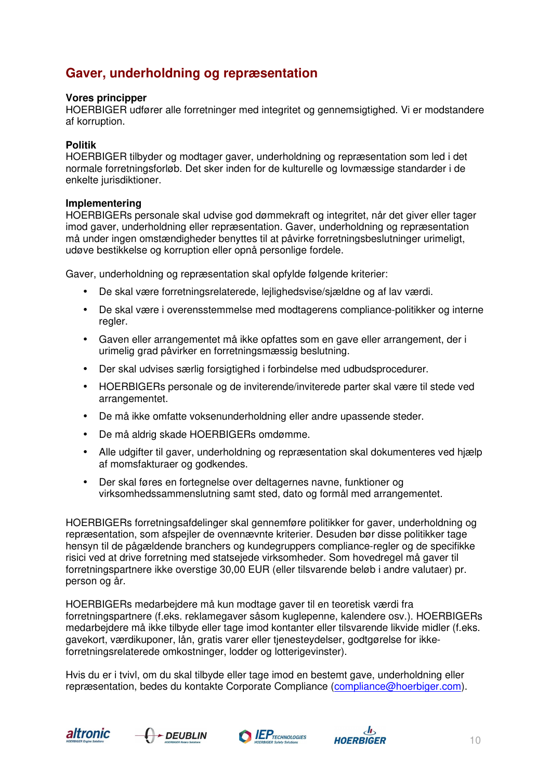# **Gaver, underholdning og repræsentation**

# **Vores principper**

HOERBIGER udfører alle forretninger med integritet og gennemsigtighed. Vi er modstandere af korruption.

# **Politik**

HOERBIGER tilbyder og modtager gaver, underholdning og repræsentation som led i det normale forretningsforløb. Det sker inden for de kulturelle og lovmæssige standarder i de enkelte jurisdiktioner.

# **Implementering**

HOERBIGERs personale skal udvise god dømmekraft og integritet, når det giver eller tager imod gaver, underholdning eller repræsentation. Gaver, underholdning og repræsentation må under ingen omstændigheder benyttes til at påvirke forretningsbeslutninger urimeligt, udøve bestikkelse og korruption eller opnå personlige fordele.

Gaver, underholdning og repræsentation skal opfylde følgende kriterier:

- De skal være forretningsrelaterede, lejlighedsvise/sjældne og af lav værdi.
- De skal være i overensstemmelse med modtagerens compliance-politikker og interne regler.
- Gaven eller arrangementet må ikke opfattes som en gave eller arrangement, der i urimelig grad påvirker en forretningsmæssig beslutning.
- Der skal udvises særlig forsigtighed i forbindelse med udbudsprocedurer.
- HOERBIGERs personale og de inviterende/inviterede parter skal være til stede ved arrangementet.
- De må ikke omfatte voksenunderholdning eller andre upassende steder.
- De må aldrig skade HOERBIGERs omdømme.
- Alle udgifter til gaver, underholdning og repræsentation skal dokumenteres ved hjælp af momsfakturaer og godkendes.
- Der skal føres en fortegnelse over deltagernes navne, funktioner og virksomhedssammenslutning samt sted, dato og formål med arrangementet.

HOERBIGERs forretningsafdelinger skal gennemføre politikker for gaver, underholdning og repræsentation, som afspejler de ovennævnte kriterier. Desuden bør disse politikker tage hensyn til de pågældende branchers og kundegruppers compliance-regler og de specifikke risici ved at drive forretning med statsejede virksomheder. Som hovedregel må gaver til forretningspartnere ikke overstige 30,00 EUR (eller tilsvarende beløb i andre valutaer) pr. person og år.

HOERBIGERs medarbejdere må kun modtage gaver til en teoretisk værdi fra forretningspartnere (f.eks. reklamegaver såsom kuglepenne, kalendere osv.). HOERBIGERs medarbejdere må ikke tilbyde eller tage imod kontanter eller tilsvarende likvide midler (f.eks. gavekort, værdikuponer, lån, gratis varer eller tjenesteydelser, godtgørelse for ikkeforretningsrelaterede omkostninger, lodder og lotterigevinster).

Hvis du er i tvivl, om du skal tilbyde eller tage imod en bestemt gave, underholdning eller repræsentation, bedes du kontakte Corporate Compliance (compliance@hoerbiger.com).







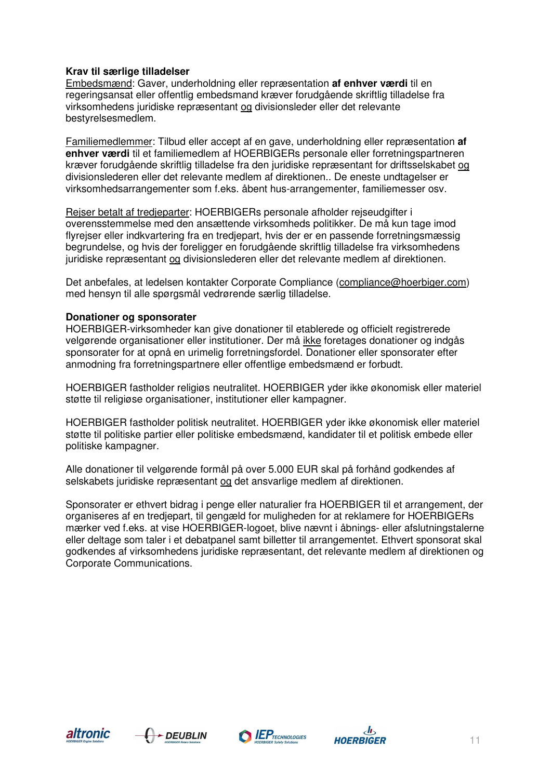# **Krav til særlige tilladelser**

Embedsmænd: Gaver, underholdning eller repræsentation **af enhver værdi** til en regeringsansat eller offentlig embedsmand kræver forudgående skriftlig tilladelse fra virksomhedens juridiske repræsentant og divisionsleder eller det relevante bestyrelsesmedlem.

Familiemedlemmer: Tilbud eller accept af en gave, underholdning eller repræsentation **af enhver værdi** til et familiemedlem af HOERBIGERs personale eller forretningspartneren kræver forudgående skriftlig tilladelse fra den juridiske repræsentant for driftsselskabet og divisionslederen eller det relevante medlem af direktionen.. De eneste undtagelser er virksomhedsarrangementer som f.eks. åbent hus-arrangementer, familiemesser osv.

Rejser betalt af tredjeparter: HOERBIGERs personale afholder rejseudgifter i overensstemmelse med den ansættende virksomheds politikker. De må kun tage imod flyrejser eller indkvartering fra en tredjepart, hvis der er en passende forretningsmæssig begrundelse, og hvis der foreligger en forudgående skriftlig tilladelse fra virksomhedens juridiske repræsentant og divisionslederen eller det relevante medlem af direktionen.

Det anbefales, at ledelsen kontakter Corporate Compliance (compliance@hoerbiger.com) med hensyn til alle spørgsmål vedrørende særlig tilladelse.

# **Donationer og sponsorater**

HOERBIGER-virksomheder kan give donationer til etablerede og officielt registrerede velgørende organisationer eller institutioner. Der må ikke foretages donationer og indgås sponsorater for at opnå en urimelig forretningsfordel. Donationer eller sponsorater efter anmodning fra forretningspartnere eller offentlige embedsmænd er forbudt.

HOERBIGER fastholder religiøs neutralitet. HOERBIGER yder ikke økonomisk eller materiel støtte til religiøse organisationer, institutioner eller kampagner.

HOERBIGER fastholder politisk neutralitet. HOERBIGER yder ikke økonomisk eller materiel støtte til politiske partier eller politiske embedsmænd, kandidater til et politisk embede eller politiske kampagner.

Alle donationer til velgørende formål på over 5.000 EUR skal på forhånd godkendes af selskabets juridiske repræsentant og det ansvarlige medlem af direktionen.

Sponsorater er ethvert bidrag i penge eller naturalier fra HOERBIGER til et arrangement, der organiseres af en tredjepart, til gengæld for muligheden for at reklamere for HOERBIGERs mærker ved f.eks. at vise HOERBIGER-logoet, blive nævnt i åbnings- eller afslutningstalerne eller deltage som taler i et debatpanel samt billetter til arrangementet. Ethvert sponsorat skal godkendes af virksomhedens juridiske repræsentant, det relevante medlem af direktionen og Corporate Communications.







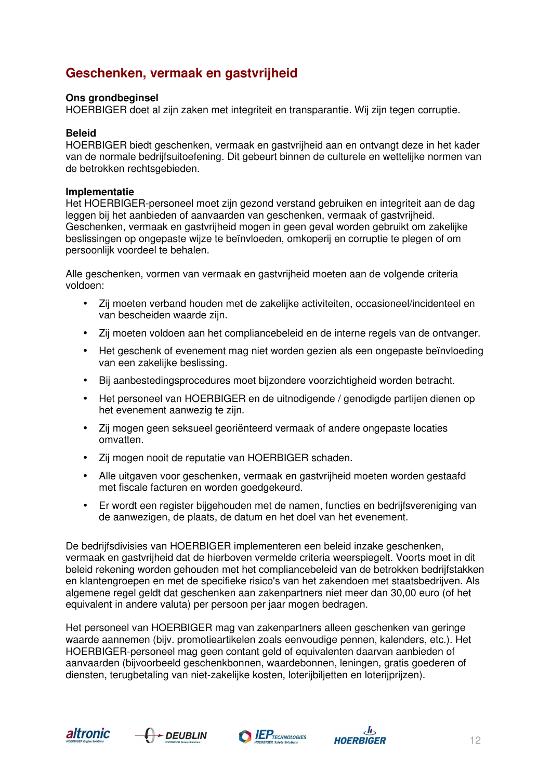# **Geschenken, vermaak en gastvrijheid**

# **Ons grondbeginsel**

HOERBIGER doet al zijn zaken met integriteit en transparantie. Wij zijn tegen corruptie.

# **Beleid**

HOERBIGER biedt geschenken, vermaak en gastvrijheid aan en ontvangt deze in het kader van de normale bedrijfsuitoefening. Dit gebeurt binnen de culturele en wettelijke normen van de betrokken rechtsgebieden.

## **Implementatie**

Het HOERBIGER-personeel moet zijn gezond verstand gebruiken en integriteit aan de dag leggen bij het aanbieden of aanvaarden van geschenken, vermaak of gastvrijheid. Geschenken, vermaak en gastvrijheid mogen in geen geval worden gebruikt om zakelijke beslissingen op ongepaste wijze te beïnvloeden, omkoperij en corruptie te plegen of om persoonlijk voordeel te behalen.

Alle geschenken, vormen van vermaak en gastvrijheid moeten aan de volgende criteria voldoen:

- Zij moeten verband houden met de zakelijke activiteiten, occasioneel/incidenteel en van bescheiden waarde zijn.
- Zij moeten voldoen aan het compliancebeleid en de interne regels van de ontvanger.
- Het geschenk of evenement mag niet worden gezien als een ongepaste beïnvloeding van een zakelijke beslissing.
- Bij aanbestedingsprocedures moet bijzondere voorzichtigheid worden betracht.
- Het personeel van HOERBIGER en de uitnodigende / genodigde partijen dienen op het evenement aanwezig te zijn.
- Zij mogen geen seksueel georiënteerd vermaak of andere ongepaste locaties omvatten.
- Zij mogen nooit de reputatie van HOERBIGER schaden.
- Alle uitgaven voor geschenken, vermaak en gastvrijheid moeten worden gestaafd met fiscale facturen en worden goedgekeurd.
- Er wordt een register bijgehouden met de namen, functies en bedrijfsvereniging van de aanwezigen, de plaats, de datum en het doel van het evenement.

De bedrijfsdivisies van HOERBIGER implementeren een beleid inzake geschenken, vermaak en gastvrijheid dat de hierboven vermelde criteria weerspiegelt. Voorts moet in dit beleid rekening worden gehouden met het compliancebeleid van de betrokken bedrijfstakken en klantengroepen en met de specifieke risico's van het zakendoen met staatsbedrijven. Als algemene regel geldt dat geschenken aan zakenpartners niet meer dan 30,00 euro (of het equivalent in andere valuta) per persoon per jaar mogen bedragen.

Het personeel van HOERBIGER mag van zakenpartners alleen geschenken van geringe waarde aannemen (bijv. promotieartikelen zoals eenvoudige pennen, kalenders, etc.). Het HOERBIGER-personeel mag geen contant geld of equivalenten daarvan aanbieden of aanvaarden (bijvoorbeeld geschenkbonnen, waardebonnen, leningen, gratis goederen of diensten, terugbetaling van niet-zakelijke kosten, loterijbiljetten en loterijprijzen).







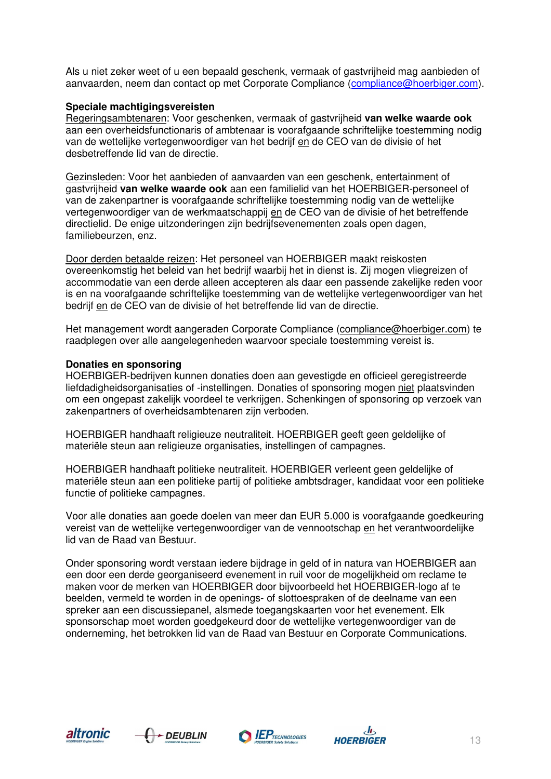Als u niet zeker weet of u een bepaald geschenk, vermaak of gastvrijheid mag aanbieden of aanvaarden, neem dan contact op met Corporate Compliance (compliance@hoerbiger.com).

# **Speciale machtigingsvereisten**

Regeringsambtenaren: Voor geschenken, vermaak of gastvrijheid **van welke waarde ook** aan een overheidsfunctionaris of ambtenaar is voorafgaande schriftelijke toestemming nodig van de wettelijke vertegenwoordiger van het bedrijf en de CEO van de divisie of het desbetreffende lid van de directie.

Gezinsleden: Voor het aanbieden of aanvaarden van een geschenk, entertainment of gastvrijheid **van welke waarde ook** aan een familielid van het HOERBIGER-personeel of van de zakenpartner is voorafgaande schriftelijke toestemming nodig van de wettelijke vertegenwoordiger van de werkmaatschappij en de CEO van de divisie of het betreffende directielid. De enige uitzonderingen zijn bedrijfsevenementen zoals open dagen, familiebeurzen, enz.

Door derden betaalde reizen: Het personeel van HOERBIGER maakt reiskosten overeenkomstig het beleid van het bedrijf waarbij het in dienst is. Zij mogen vliegreizen of accommodatie van een derde alleen accepteren als daar een passende zakelijke reden voor is en na voorafgaande schriftelijke toestemming van de wettelijke vertegenwoordiger van het bedrijf en de CEO van de divisie of het betreffende lid van de directie.

Het management wordt aangeraden Corporate Compliance (compliance@hoerbiger.com) te raadplegen over alle aangelegenheden waarvoor speciale toestemming vereist is.

## **Donaties en sponsoring**

HOERBIGER-bedrijven kunnen donaties doen aan gevestigde en officieel geregistreerde liefdadigheidsorganisaties of -instellingen. Donaties of sponsoring mogen niet plaatsvinden om een ongepast zakelijk voordeel te verkrijgen. Schenkingen of sponsoring op verzoek van zakenpartners of overheidsambtenaren zijn verboden.

HOERBIGER handhaaft religieuze neutraliteit. HOERBIGER geeft geen geldelijke of materiële steun aan religieuze organisaties, instellingen of campagnes.

HOERBIGER handhaaft politieke neutraliteit. HOERBIGER verleent geen geldelijke of materiële steun aan een politieke partij of politieke ambtsdrager, kandidaat voor een politieke functie of politieke campagnes.

Voor alle donaties aan goede doelen van meer dan EUR 5.000 is voorafgaande goedkeuring vereist van de wettelijke vertegenwoordiger van de vennootschap en het verantwoordelijke lid van de Raad van Bestuur.

Onder sponsoring wordt verstaan iedere bijdrage in geld of in natura van HOERBIGER aan een door een derde georganiseerd evenement in ruil voor de mogelijkheid om reclame te maken voor de merken van HOERBIGER door bijvoorbeeld het HOERBIGER-logo af te beelden, vermeld te worden in de openings- of slottoespraken of de deelname van een spreker aan een discussiepanel, alsmede toegangskaarten voor het evenement. Elk sponsorschap moet worden goedgekeurd door de wettelijke vertegenwoordiger van de onderneming, het betrokken lid van de Raad van Bestuur en Corporate Communications.







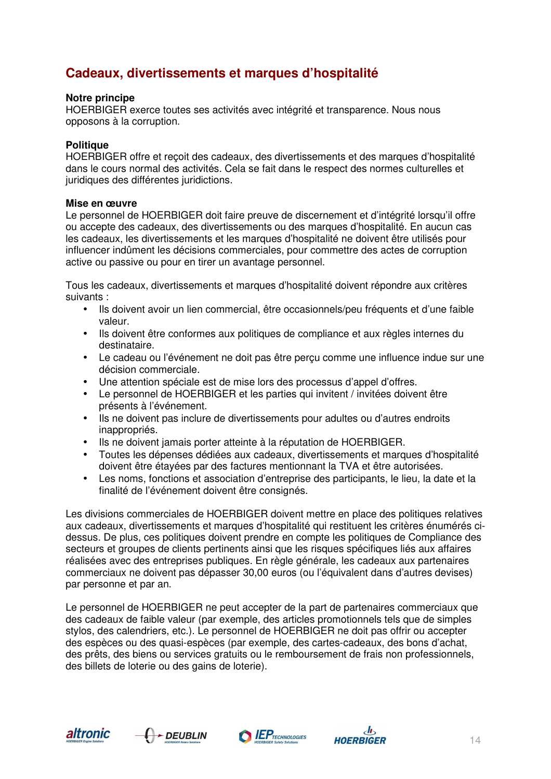# **Cadeaux, divertissements et marques d'hospitalité**

# **Notre principe**

HOERBIGER exerce toutes ses activités avec intégrité et transparence. Nous nous opposons à la corruption.

# **Politique**

HOERBIGER offre et reçoit des cadeaux, des divertissements et des marques d'hospitalité dans le cours normal des activités. Cela se fait dans le respect des normes culturelles et juridiques des différentes juridictions.

## **Mise en œuvre**

Le personnel de HOERBIGER doit faire preuve de discernement et d'intégrité lorsqu'il offre ou accepte des cadeaux, des divertissements ou des marques d'hospitalité. En aucun cas les cadeaux, les divertissements et les marques d'hospitalité ne doivent être utilisés pour influencer indûment les décisions commerciales, pour commettre des actes de corruption active ou passive ou pour en tirer un avantage personnel.

Tous les cadeaux, divertissements et marques d'hospitalité doivent répondre aux critères suivants :

- Ils doivent avoir un lien commercial, être occasionnels/peu fréquents et d'une faible valeur.
- Ils doivent être conformes aux politiques de compliance et aux règles internes du destinataire.
- Le cadeau ou l'événement ne doit pas être perçu comme une influence indue sur une décision commerciale.
- Une attention spéciale est de mise lors des processus d'appel d'offres.
- Le personnel de HOERBIGER et les parties qui invitent / invitées doivent être présents à l'événement.
- Ils ne doivent pas inclure de divertissements pour adultes ou d'autres endroits inappropriés.
- Ils ne doivent jamais porter atteinte à la réputation de HOERBIGER.
- Toutes les dépenses dédiées aux cadeaux, divertissements et marques d'hospitalité doivent être étayées par des factures mentionnant la TVA et être autorisées.
- Les noms, fonctions et association d'entreprise des participants, le lieu, la date et la finalité de l'événement doivent être consignés.

Les divisions commerciales de HOERBIGER doivent mettre en place des politiques relatives aux cadeaux, divertissements et marques d'hospitalité qui restituent les critères énumérés cidessus. De plus, ces politiques doivent prendre en compte les politiques de Compliance des secteurs et groupes de clients pertinents ainsi que les risques spécifiques liés aux affaires réalisées avec des entreprises publiques. En règle générale, les cadeaux aux partenaires commerciaux ne doivent pas dépasser 30,00 euros (ou l'équivalent dans d'autres devises) par personne et par an.

Le personnel de HOERBIGER ne peut accepter de la part de partenaires commerciaux que des cadeaux de faible valeur (par exemple, des articles promotionnels tels que de simples stylos, des calendriers, etc.). Le personnel de HOERBIGER ne doit pas offrir ou accepter des espèces ou des quasi-espèces (par exemple, des cartes-cadeaux, des bons d'achat, des prêts, des biens ou services gratuits ou le remboursement de frais non professionnels, des billets de loterie ou des gains de loterie).







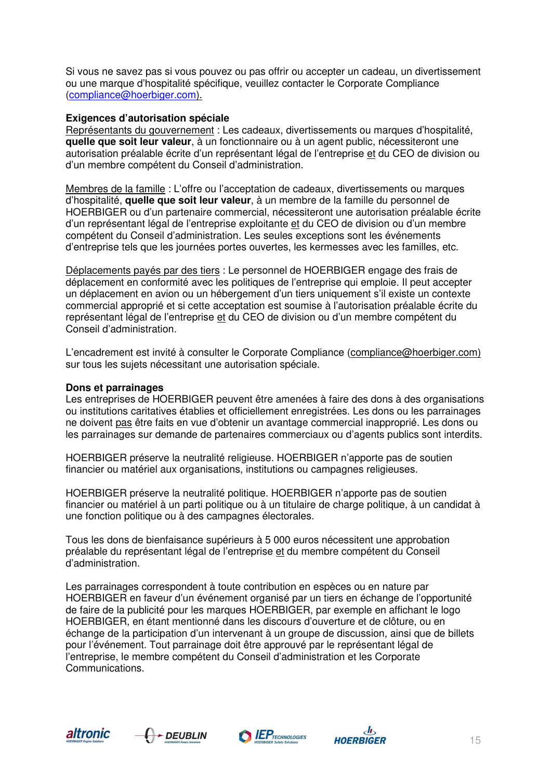Si vous ne savez pas si vous pouvez ou pas offrir ou accepter un cadeau, un divertissement ou une marque d'hospitalité spécifique, veuillez contacter le Corporate Compliance (compliance@hoerbiger.com).

# **Exigences d'autorisation spéciale**

Représentants du gouvernement : Les cadeaux, divertissements ou marques d'hospitalité, **quelle que soit leur valeur**, à un fonctionnaire ou à un agent public, nécessiteront une autorisation préalable écrite d'un représentant légal de l'entreprise et du CEO de division ou d'un membre compétent du Conseil d'administration.

Membres de la famille : L'offre ou l'acceptation de cadeaux, divertissements ou marques d'hospitalité, **quelle que soit leur valeur**, à un membre de la famille du personnel de HOERBIGER ou d'un partenaire commercial, nécessiteront une autorisation préalable écrite d'un représentant légal de l'entreprise exploitante et du CEO de division ou d'un membre compétent du Conseil d'administration. Les seules exceptions sont les événements d'entreprise tels que les journées portes ouvertes, les kermesses avec les familles, etc.

Déplacements payés par des tiers : Le personnel de HOERBIGER engage des frais de déplacement en conformité avec les politiques de l'entreprise qui emploie. Il peut accepter un déplacement en avion ou un hébergement d'un tiers uniquement s'il existe un contexte commercial approprié et si cette acceptation est soumise à l'autorisation préalable écrite du représentant légal de l'entreprise et du CEO de division ou d'un membre compétent du Conseil d'administration.

L'encadrement est invité à consulter le Corporate Compliance (compliance@hoerbiger.com) sur tous les sujets nécessitant une autorisation spéciale.

#### **Dons et parrainages**

Les entreprises de HOERBIGER peuvent être amenées à faire des dons à des organisations ou institutions caritatives établies et officiellement enregistrées. Les dons ou les parrainages ne doivent pas être faits en vue d'obtenir un avantage commercial inapproprié. Les dons ou les parrainages sur demande de partenaires commerciaux ou d'agents publics sont interdits.

HOERBIGER préserve la neutralité religieuse. HOERBIGER n'apporte pas de soutien financier ou matériel aux organisations, institutions ou campagnes religieuses.

HOERBIGER préserve la neutralité politique. HOERBIGER n'apporte pas de soutien financier ou matériel à un parti politique ou à un titulaire de charge politique, à un candidat à une fonction politique ou à des campagnes électorales.

Tous les dons de bienfaisance supérieurs à 5 000 euros nécessitent une approbation préalable du représentant légal de l'entreprise et du membre compétent du Conseil d'administration.

Les parrainages correspondent à toute contribution en espèces ou en nature par HOERBIGER en faveur d'un événement organisé par un tiers en échange de l'opportunité de faire de la publicité pour les marques HOERBIGER, par exemple en affichant le logo HOERBIGER, en étant mentionné dans les discours d'ouverture et de clôture, ou en échange de la participation d'un intervenant à un groupe de discussion, ainsi que de billets pour l'événement. Tout parrainage doit être approuvé par le représentant légal de l'entreprise, le membre compétent du Conseil d'administration et les Corporate Communications.







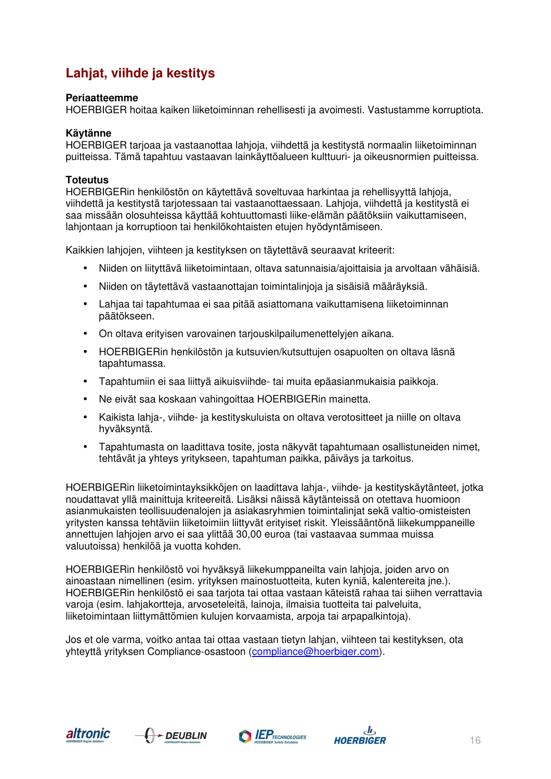# **Lahjat, viihde ja kestitys**

## **Periaatteemme**

HOERBIGER hoitaa kaiken liiketoiminnan rehellisesti ja avoimesti. Vastustamme korruptiota.

# **Käytänne**

HOERBIGER tarjoaa ja vastaanottaa lahjoja, viihdettä ja kestitystä normaalin liiketoiminnan puitteissa. Tämä tapahtuu vastaavan lainkäyttöalueen kulttuuri- ja oikeusnormien puitteissa.

# **Toteutus**

HOERBIGERin henkilöstön on käytettävä soveltuvaa harkintaa ja rehellisyyttä lahjoja, viihdettä ja kestitystä tarjotessaan tai vastaanottaessaan. Lahjoja, viihdettä ja kestitystä ei saa missään olosuhteissa käyttää kohtuuttomasti liike-elämän päätöksiin vaikuttamiseen, lahjontaan ja korruptioon tai henkilökohtaisten etujen hyödyntämiseen.

Kaikkien lahjojen, viihteen ja kestityksen on täytettävä seuraavat kriteerit:

- Niiden on liityttävä liiketoimintaan, oltava satunnaisia/ajoittaisia ja arvoltaan vähäisiä.
- Niiden on täytettävä vastaanottajan toimintalinjoja ja sisäisiä määräyksiä.
- Lahjaa tai tapahtumaa ei saa pitää asiattomana vaikuttamisena liiketoiminnan päätökseen.
- On oltava erityisen varovainen tarjouskilpailumenettelyjen aikana.
- HOERBIGERin henkilöstön ja kutsuvien/kutsuttujen osapuolten on oltava läsnä tapahtumassa.
- Tapahtumiin ei saa liittyä aikuisviihde- tai muita epäasianmukaisia paikkoja.
- Ne eivät saa koskaan vahingoittaa HOERBIGERin mainetta.
- Kaikista lahja-, viihde- ja kestityskuluista on oltava verotositteet ja niille on oltava hyväksyntä.
- Tapahtumasta on laadittava tosite, josta näkyvät tapahtumaan osallistuneiden nimet, tehtävät ja yhteys yritykseen, tapahtuman paikka, päiväys ja tarkoitus.

HOERBIGERin liiketoimintayksikköjen on laadittava lahja-, viihde- ja kestityskäytänteet, jotka noudattavat yllä mainittuja kriteereitä. Lisäksi näissä käytänteissä on otettava huomioon asianmukaisten teollisuudenalojen ja asiakasryhmien toimintalinjat sekä valtio-omisteisten yritysten kanssa tehtäviin liiketoimiin liittyvät erityiset riskit. Yleissääntönä liikekumppaneille annettujen lahjojen arvo ei saa ylittää 30,00 euroa (tai vastaavaa summaa muissa valuutoissa) henkilöä ja vuotta kohden.

HOERBIGERin henkilöstö voi hyväksyä liikekumppaneilta vain lahjoja, joiden arvo on ainoastaan nimellinen (esim. yrityksen mainostuotteita, kuten kyniä, kalentereita jne.). HOERBIGERin henkilöstö ei saa tarjota tai ottaa vastaan käteistä rahaa tai siihen verrattavia varoja (esim. lahjakortteja, arvoseteleitä, lainoja, ilmaisia tuotteita tai palveluita, liiketoimintaan liittymättömien kulujen korvaamista, arpoja tai arpapalkintoja).

Jos et ole varma, voitko antaa tai ottaa vastaan tietyn lahjan, viihteen tai kestityksen, ota yhteyttä yrityksen Compliance-osastoon (compliance@hoerbiger.com).







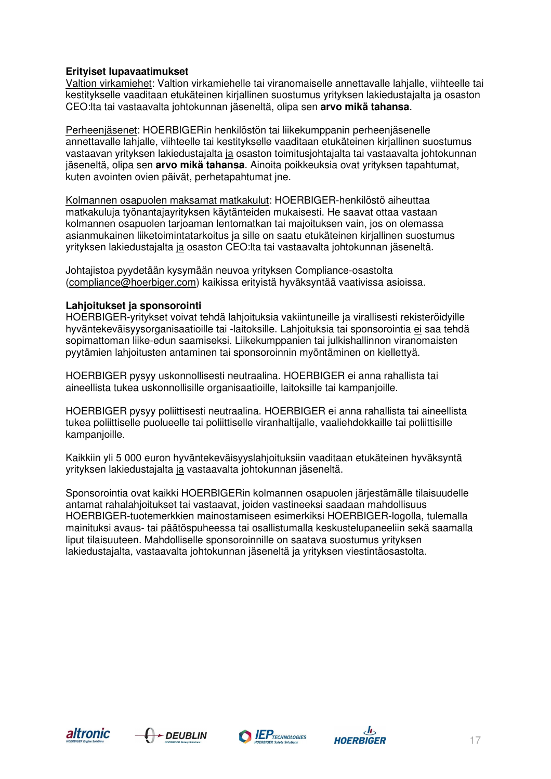# **Erityiset lupavaatimukset**

Valtion virkamiehet: Valtion virkamiehelle tai viranomaiselle annettavalle lahjalle, viihteelle tai kestitykselle vaaditaan etukäteinen kirjallinen suostumus yrityksen lakiedustajalta ja osaston CEO:lta tai vastaavalta johtokunnan jäseneltä, olipa sen **arvo mikä tahansa**.

Perheenjäsenet: HOERBIGERin henkilöstön tai liikekumppanin perheenjäsenelle annettavalle lahjalle, viihteelle tai kestitykselle vaaditaan etukäteinen kirjallinen suostumus vastaavan yrityksen lakiedustajalta ja osaston toimitusjohtajalta tai vastaavalta johtokunnan jäseneltä, olipa sen **arvo mikä tahansa**. Ainoita poikkeuksia ovat yrityksen tapahtumat, kuten avointen ovien päivät, perhetapahtumat jne.

Kolmannen osapuolen maksamat matkakulut: HOERBIGER-henkilöstö aiheuttaa matkakuluja työnantajayrityksen käytänteiden mukaisesti. He saavat ottaa vastaan kolmannen osapuolen tarjoaman lentomatkan tai majoituksen vain, jos on olemassa asianmukainen liiketoimintatarkoitus ja sille on saatu etukäteinen kirjallinen suostumus yrityksen lakiedustajalta ja osaston CEO:lta tai vastaavalta johtokunnan jäseneltä.

Johtajistoa pyydetään kysymään neuvoa yrityksen Compliance-osastolta (compliance@hoerbiger.com) kaikissa erityistä hyväksyntää vaativissa asioissa.

# **Lahjoitukset ja sponsorointi**

HOERBIGER-yritykset voivat tehdä lahjoituksia vakiintuneille ja virallisesti rekisteröidyille hyväntekeväisyysorganisaatioille tai -laitoksille. Lahjoituksia tai sponsorointia ei saa tehdä sopimattoman liike-edun saamiseksi. Liikekumppanien tai julkishallinnon viranomaisten pyytämien lahjoitusten antaminen tai sponsoroinnin myöntäminen on kiellettyä.

HOERBIGER pysyy uskonnollisesti neutraalina. HOERBIGER ei anna rahallista tai aineellista tukea uskonnollisille organisaatioille, laitoksille tai kampanjoille.

HOERBIGER pysyy poliittisesti neutraalina. HOERBIGER ei anna rahallista tai aineellista tukea poliittiselle puolueelle tai poliittiselle viranhaltijalle, vaaliehdokkaille tai poliittisille kampanjoille.

Kaikkiin yli 5 000 euron hyväntekeväisyyslahjoituksiin vaaditaan etukäteinen hyväksyntä yrityksen lakiedustajalta ja vastaavalta johtokunnan jäseneltä.

Sponsorointia ovat kaikki HOERBIGERin kolmannen osapuolen järjestämälle tilaisuudelle antamat rahalahjoitukset tai vastaavat, joiden vastineeksi saadaan mahdollisuus HOERBIGER-tuotemerkkien mainostamiseen esimerkiksi HOERBIGER-logolla, tulemalla mainituksi avaus- tai päätöspuheessa tai osallistumalla keskustelupaneeliin sekä saamalla liput tilaisuuteen. Mahdolliselle sponsoroinnille on saatava suostumus yrityksen lakiedustajalta, vastaavalta johtokunnan jäseneltä ja yrityksen viestintäosastolta.







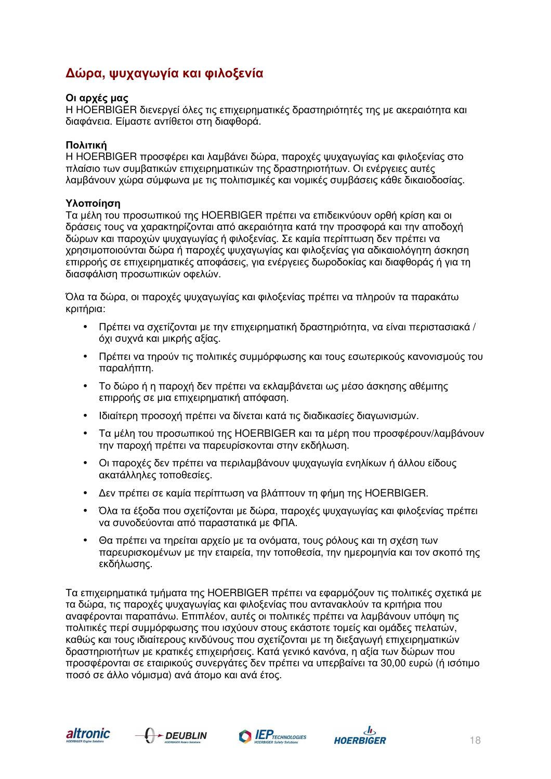# **Δώρα, ψυχαγωγία και φιλοξενία**

# **Οι αρχές μας**

Η HOERBIGER διενεργεί όλες τις επιχειρηματικές δραστηριότητές της με ακεραιότητα και διαφάνεια. Είμαστε αντίθετοι στη διαφθορά.

# **Πολιτική**

Η HOERBIGER προσφέρει και λαμβάνει δώρα, παροχές ψυχαγωγίας και φιλοξενίας στο πλαίσιο των συμβατικών επιχειρηματικών της δραστηριοτήτων. Οι ενέργειες αυτές λαμβάνουν χώρα σύμφωνα με τις πολιτισμικές και νομικές συμβάσεις κάθε δικαιοδοσίας.

# **Υλοποίηση**

Τα μέλη του προσωπικού της HOERBIGER πρέπει να επιδεικνύουν ορθή κρίση και οι δράσεις τους να χαρακτηρίζονται από ακεραιότητα κατά την προσφορά και την αποδοχή δώρων και παροχών ψυχαγωγίας ή φιλοξενίας. Σε καμία περίπτωση δεν πρέπει να χρησιμοποιούνται δώρα ή παροχές ψυχαγωγίας και φιλοξενίας για αδικαιολόγητη άσκηση επιρροής σε επιχειρηματικές αποφάσεις, για ενέργειες δωροδοκίας και διαφθοράς ή για τη διασφάλιση προσωπικών οφελών.

Όλα τα δώρα, οι παροχές ψυχαγωγίας και φιλοξενίας πρέπει να πληρούν τα παρακάτω κριτήρια:

- Πρέπει να σχετίζονται με την επιχειρηματική δραστηριότητα, να είναι περιστασιακά / όχι συχνά και μικρής αξίας.
- Πρέπει να τηρούν τις πολιτικές συμμόρφωσης και τους εσωτερικούς κανονισμούς του παραλήπτη.
- Το δώρο ή η παροχή δεν πρέπει να εκλαμβάνεται ως μέσο άσκησης αθέμιτης επιρροής σε μια επιχειρηματική απόφαση.
- Ιδιαίτερη προσοχή πρέπει να δίνεται κατά τις διαδικασίες διαγωνισμών.
- Τα μέλη του προσωπικού της HOERBIGER και τα μέρη που προσφέρουν/λαμβάνουν την παροχή πρέπει να παρευρίσκονται στην εκδήλωση.
- Οι παροχές δεν πρέπει να περιλαμβάνουν ψυχαγωγία ενηλίκων ή άλλου είδους ακατάλληλες τοποθεσίες.
- Δεν πρέπει σε καμία περίπτωση να βλάπτουν τη φήμη της HOERBIGER.
- Όλα τα έξοδα που σχετίζονται με δώρα, παροχές ψυχαγωγίας και φιλοξενίας πρέπει να συνοδεύονται από παραστατικά με ΦΠΑ.
- Θα πρέπει να τηρείται αρχείο με τα ονόματα, τους ρόλους και τη σχέση των παρευρισκομένων με την εταιρεία, την τοποθεσία, την ημερομηνία και τον σκοπό της εκδήλωσης.

Τα επιχειρηματικά τμήματα της HOERBIGER πρέπει να εφαρμόζουν τις πολιτικές σχετικά με τα δώρα, τις παροχές ψυχαγωγίας και φιλοξενίας που αντανακλούν τα κριτήρια που αναφέρονται παραπάνω. Επιπλέον, αυτές οι πολιτικές πρέπει να λαμβάνουν υπόψη τις πολιτικές περί συμμόρφωσης που ισχύουν στους εκάστοτε τομείς και ομάδες πελατών, καθώς και τους ιδιαίτερους κινδύνους που σχετίζονται με τη διεξαγωγή επιχειρηματικών δραστηριοτήτων με κρατικές επιχειρήσεις. Κατά γενικό κανόνα, η αξία των δώρων που προσφέρονται σε εταιρικούς συνεργάτες δεν πρέπει να υπερβαίνει τα 30,00 ευρώ (ή ισότιμο ποσό σε άλλο νόμισμα) ανά άτομο και ανά έτος.







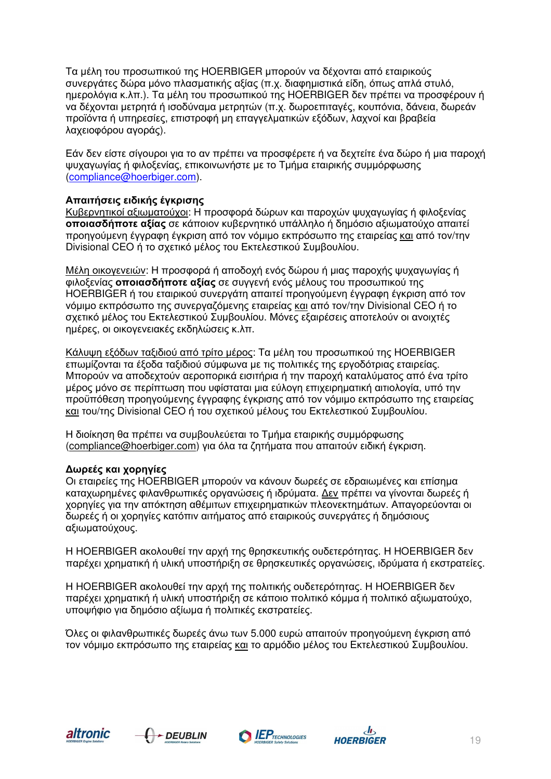Τα μέλη του προσωπικού της HOERBIGER μπορούν να δέχονται από εταιρικούς συνεργάτες δώρα μόνο πλασματικής αξίας (π.χ. διαφημιστικά είδη, όπως απλά στυλό, ημερολόγια κ.λπ.). Τα μέλη του προσωπικού της HOERBIGER δεν πρέπει να προσφέρουν ή να δέχονται μετρητά ή ισοδύναμα μετρητών (π.χ. δωροεπιταγές, κουπόνια, δάνεια, δωρεάν προϊόντα ή υπηρεσίες, επιστροφή μη επαγγελματικών εξόδων, λαχνοί και βραβεία λαχειοφόρου αγοράς).

Εάν δεν είστε σίγουροι για το αν πρέπει να προσφέρετε ή να δεχτείτε ένα δώρο ή μια παροχή ψυχαγωγίας ή φιλοξενίας, επικοινωνήστε με το Τμήμα εταιρικής συμμόρφωσης (compliance@hoerbiger.com).

# **Απαιτήσεις ειδικής έγκρισης**

Κυβερνητικοί αξιωματούχοι: Η προσφορά δώρων και παροχών ψυχαγωγίας ή φιλοξενίας **οποιασδήποτε αξίας** σε κάποιον κυβερνητικό υπάλληλο ή δημόσιο αξιωματούχο απαιτεί προηγούμενη έγγραφη έγκριση από τον νόμιμο εκπρόσωπο της εταιρείας και από τον/την Divisional CEO ή το σχετικό μέλος του Εκτελεστικού Συμβουλίου.

Μέλη οικογενειών: Η προσφορά ή αποδοχή ενός δώρου ή μιας παροχής ψυχαγωγίας ή φιλοξενίας **οποιασδήποτε αξίας** σε συγγενή ενός μέλους του προσωπικού της HOERBIGER ή του εταιρικού συνεργάτη απαιτεί προηγούμενη έγγραφη έγκριση από τον νόμιμο εκπρόσωπο της συνεργαζόμενης εταιρείας και από τον/την Divisional CEO ή το σχετικό μέλος του Εκτελεστικού Συμβουλίου. Μόνες εξαιρέσεις αποτελούν οι ανοιχτές ημέρες, οι οικογενειακές εκδηλώσεις κ.λπ.

Κάλυψη εξόδων ταξιδιού από τρίτο μέρος: Τα μέλη του προσωπικού της HOERBIGER επωμίζονται τα έξοδα ταξιδιού σύμφωνα με τις πολιτικές της εργοδότριας εταιρείας. Μπορούν να αποδεχτούν αεροπορικά εισιτήρια ή την παροχή καταλύματος από ένα τρίτο μέρος μόνο σε περίπτωση που υφίσταται μια εύλογη επιχειρηματική αιτιολογία, υπό την προϋπόθεση προηγούμενης έγγραφης έγκρισης από τον νόμιμο εκπρόσωπο της εταιρείας και του/της Divisional CEO ή του σχετικού μέλους του Εκτελεστικού Συμβουλίου.

Η διοίκηση θα πρέπει να συμβουλεύεται το Τμήμα εταιρικής συμμόρφωσης (compliance@hoerbiger.com) για όλα τα ζητήματα που απαιτούν ειδική έγκριση.

# **Δωρεές και χορηγίες**

Οι εταιρείες της HOERBIGER μπορούν να κάνουν δωρεές σε εδραιωμένες και επίσημα καταχωρημένες φιλανθρωπικές οργανώσεις ή ιδρύματα. Δεν πρέπει να γίνονται δωρεές ή χορηγίες για την απόκτηση αθέμιτων επιχειρηματικών πλεονεκτημάτων. Απαγορεύονται οι δωρεές ή οι χορηγίες κατόπιν αιτήματος από εταιρικούς συνεργάτες ή δημόσιους αξιωματούχους.

Η HOERBIGER ακολουθεί την αρχή της θρησκευτικής ουδετερότητας. Η HOERBIGER δεν παρέχει χρηματική ή υλική υποστήριξη σε θρησκευτικές οργανώσεις, ιδρύματα ή εκστρατείες.

Η HOERBIGER ακολουθεί την αρχή της πολιτικής ουδετερότητας. Η HOERBIGER δεν παρέχει χρηματική ή υλική υποστήριξη σε κάποιο πολιτικό κόμμα ή πολιτικό αξιωματούχο, υποψήφιο για δημόσιο αξίωμα ή πολιτικές εκστρατείες.

Όλες οι φιλανθρωπικές δωρεές άνω των 5.000 ευρώ απαιτούν προηγούμενη έγκριση από τον νόμιμο εκπρόσωπο της εταιρείας και το αρμόδιο μέλος του Εκτελεστικού Συμβουλίου.







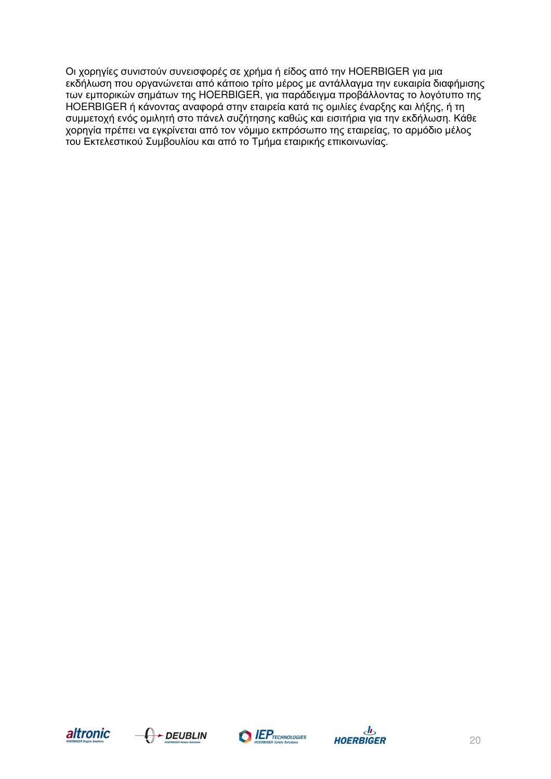Οι χορηγίες συνιστούν συνεισφορές σε χρήμα ή είδος από την HOERBIGER για μια εκδήλωση που οργανώνεται από κάποιο τρίτο μέρος με αντάλλαγμα την ευκαιρία διαφήμισης των εμπορικών σημάτων της HOERBIGER, για παράδειγμα προβάλλοντας το λογότυπο της HOERBIGER ή κάνοντας αναφορά στην εταιρεία κατά τις ομιλίες έναρξης και λήξης, ή τη συμμετοχή ενός ομιλητή στο πάνελ συζήτησης καθώς και εισιτήρια για την εκδήλωση. Κάθε χορηγία πρέπει να εγκρίνεται από τον νόμιμο εκπρόσωπο της εταιρείας, το αρμόδιο μέλος του Εκτελεστικού Συμβουλίου και από το Τμήμα εταιρικής επικοινωνίας.







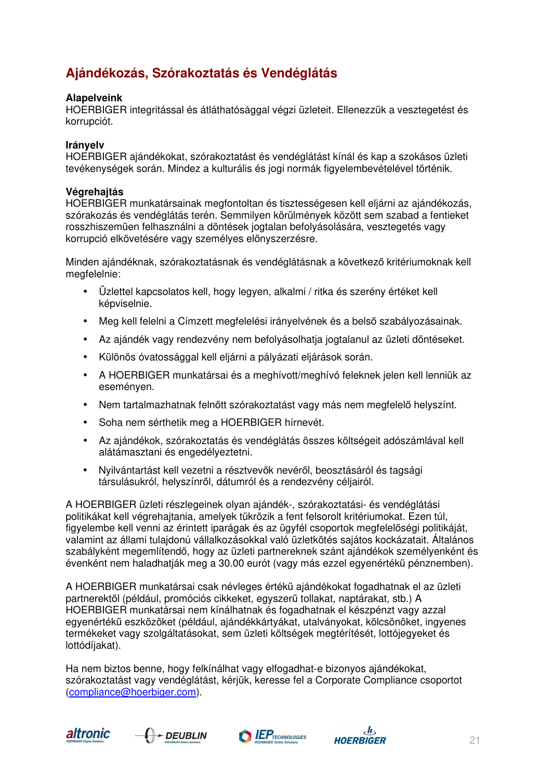# **Ajándékozás, Szórakoztatás és Vendéglátás**

# **Alapelveink**

HOERBIGER integritással és átláthatósággal végzi üzleteit. Ellenezzük a vesztegetést és korrupciót.

# **Irányelv**

HOERBIGER ajándékokat, szórakoztatást és vendéglátást kínál és kap a szokásos üzleti tevékenységek során. Mindez a kulturális és jogi normák figyelembevételével történik.

# **Végrehajtás**

HOERBIGER munkatársainak megfontoltan és tisztességesen kell eljárni az ajándékozás, szórakozás és vendéglátás terén. Semmilyen körülmények között sem szabad a fentieket rosszhiszeműen felhasználni a döntések jogtalan befolyásolására, vesztegetés vagy korrupció elkövetésére vagy személyes előnyszerzésre.

Minden ajándéknak, szórakoztatásnak és vendéglátásnak a következő kritériumoknak kell megfelelnie:

- Üzlettel kapcsolatos kell, hogy legyen, alkalmi / ritka és szerény értéket kell képviselnie.
- Meg kell felelni a Címzett megfelelési irányelvének és a belső szabályozásainak.
- Az ajándék vagy rendezvény nem befolyásolhatja jogtalanul az üzleti döntéseket.
- Különös óvatossággal kell eljárni a pályázati eljárások során.
- A HOERBIGER munkatársai és a meghívott/meghívó feleknek jelen kell lenniük az eseményen.
- Nem tartalmazhatnak felnőtt szórakoztatást vagy más nem megfelelő helyszínt.
- Soha nem sérthetik meg a HOERBIGER hírnevét.
- Az ajándékok, szórakoztatás és vendéglátás összes költségeit adószámlával kell alátámasztani és engedélyeztetni.
- Nyilvántartást kell vezetni a résztvevők nevéről, beosztásáról és tagsági társulásukról, helyszínről, dátumról és a rendezvény céljairól.

A HOERBIGER üzleti részlegeinek olyan ajándék-, szórakoztatási- és vendéglátási politikákat kell végrehajtania, amelyek tükrözik a fent felsorolt kritériumokat. Ezen túl, figyelembe kell venni az érintett iparágak és az ügyfél csoportok megfelelőségi politikáját, valamint az állami tulajdonú vállalkozásokkal való üzletkötés sajátos kockázatait. Általános szabályként megemlítendő, hogy az üzleti partnereknek szánt ajándékok személyenként és évenként nem haladhatják meg a 30.00 eurót (vagy más ezzel egyenértékű pénznemben).

A HOERBIGER munkatársai csak névleges értékű ajándékokat fogadhatnak el az üzleti partnerektől (például, promóciós cikkeket, egyszerű tollakat, naptárakat, stb.) A HOERBIGER munkatársai nem kínálhatnak és fogadhatnak el készpénzt vagy azzal egyenértékű eszközöket (például, ajándékkártyákat, utalványokat, kölcsönöket, ingyenes termékeket vagy szolgáltatásokat, sem üzleti költségek megtérítését, lottójegyeket és lottódíjakat).

Ha nem biztos benne, hogy felkínálhat vagy elfogadhat-e bizonyos ajándékokat, szórakoztatást vagy vendéglátást, kérjük, keresse fel a Corporate Compliance csoportot (compliance@hoerbiger.com).







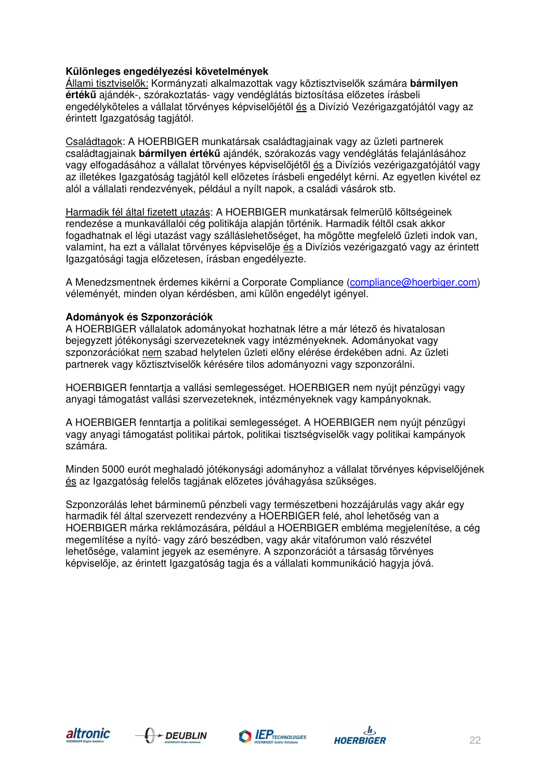# **Különleges engedélyezési követelmények**

Állami tisztviselők: Kormányzati alkalmazottak vagy köztisztviselők számára **bármilyen értékű** ajándék-, szórakoztatás- vagy vendéglátás biztosítása előzetes írásbeli engedélyköteles a vállalat törvényes képviselőjétől és a Divízió Vezérigazgatójától vagy az érintett Igazgatóság tagjától.

Családtagok: A HOERBIGER munkatársak családtagjainak vagy az üzleti partnerek családtagjainak **bármilyen értékű** ajándék, szórakozás vagy vendéglátás felajánlásához vagy elfogadásához a vállalat törvényes képviselőjétől és a Divíziós vezérigazgatójától vagy az illetékes Igazgatóság tagjától kell előzetes írásbeli engedélyt kérni. Az egyetlen kivétel ez alól a vállalati rendezvények, például a nyílt napok, a családi vásárok stb.

Harmadik fél által fizetett utazás: A HOERBIGER munkatársak felmerülő költségeinek rendezése a munkavállalói cég politikája alapján történik. Harmadik féltől csak akkor fogadhatnak el légi utazást vagy szálláslehetőséget, ha mögötte megfelelő üzleti indok van, valamint, ha ezt a vállalat törvényes képviselője és a Divíziós vezérigazgató vagy az érintett Igazgatósági tagja előzetesen, írásban engedélyezte.

A Menedzsmentnek érdemes kikérni a Corporate Compliance (compliance@hoerbiger.com) véleményét, minden olyan kérdésben, ami külön engedélyt igényel.

# **Adományok és Szponzorációk**

A HOERBIGER vállalatok adományokat hozhatnak létre a már létező és hivatalosan bejegyzett jótékonysági szervezeteknek vagy intézményeknek. Adományokat vagy szponzorációkat nem szabad helytelen üzleti előny elérése érdekében adni. Az üzleti partnerek vagy köztisztviselők kérésére tilos adományozni vagy szponzorálni.

HOERBIGER fenntartja a vallási semlegességet. HOERBIGER nem nyújt pénzügyi vagy anyagi támogatást vallási szervezeteknek, intézményeknek vagy kampányoknak.

A HOERBIGER fenntartja a politikai semlegességet. A HOERBIGER nem nyújt pénzügyi vagy anyagi támogatást politikai pártok, politikai tisztségviselők vagy politikai kampányok számára.

Minden 5000 eurót meghaladó jótékonysági adományhoz a vállalat törvényes képviselőjének és az Igazgatóság felelős tagjának előzetes jóváhagyása szükséges.

Szponzorálás lehet bárminemű pénzbeli vagy természetbeni hozzájárulás vagy akár egy harmadik fél által szervezett rendezvény a HOERBIGER felé, ahol lehetőség van a HOERBIGER márka reklámozására, például a HOERBIGER embléma megjelenítése, a cég megemlítése a nyító- vagy záró beszédben, vagy akár vitafórumon való részvétel lehetősége, valamint jegyek az eseményre. A szponzorációt a társaság törvényes képviselője, az érintett Igazgatóság tagja és a vállalati kommunikáció hagyja jóvá.







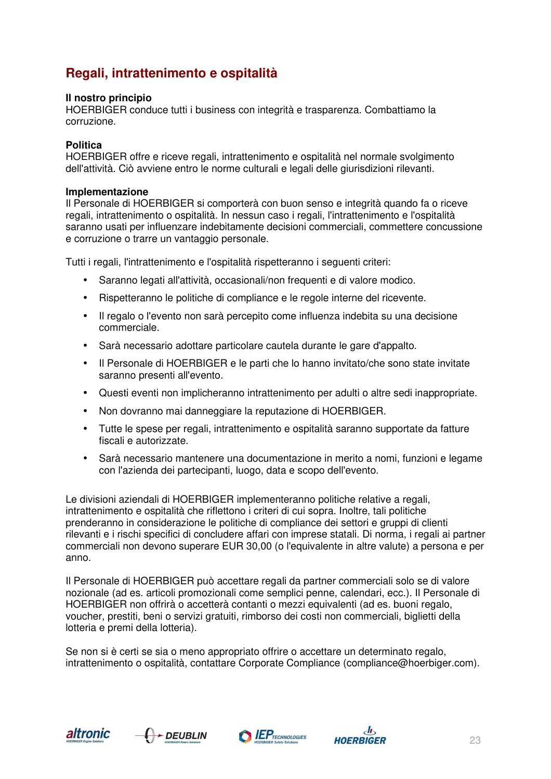# **Regali, intrattenimento e ospitalità**

# **Il nostro principio**

HOERBIGER conduce tutti i business con integrità e trasparenza. Combattiamo la corruzione.

# **Politica**

HOERBIGER offre e riceve regali, intrattenimento e ospitalità nel normale svolgimento dell'attività. Ciò avviene entro le norme culturali e legali delle giurisdizioni rilevanti.

#### **Implementazione**

Il Personale di HOERBIGER si comporterà con buon senso e integrità quando fa o riceve regali, intrattenimento o ospitalità. In nessun caso i regali, l'intrattenimento e l'ospitalità saranno usati per influenzare indebitamente decisioni commerciali, commettere concussione e corruzione o trarre un vantaggio personale.

Tutti i regali, l'intrattenimento e l'ospitalità rispetteranno i seguenti criteri:

- Saranno legati all'attività, occasionali/non frequenti e di valore modico.
- Rispetteranno le politiche di compliance e le regole interne del ricevente.
- Il regalo o l'evento non sarà percepito come influenza indebita su una decisione commerciale.
- Sarà necessario adottare particolare cautela durante le gare d'appalto.
- Il Personale di HOERBIGER e le parti che lo hanno invitato/che sono state invitate saranno presenti all'evento.
- Questi eventi non implicheranno intrattenimento per adulti o altre sedi inappropriate.
- Non dovranno mai danneggiare la reputazione di HOERBIGER.
- Tutte le spese per regali, intrattenimento e ospitalità saranno supportate da fatture fiscali e autorizzate.
- Sarà necessario mantenere una documentazione in merito a nomi, funzioni e legame con l'azienda dei partecipanti, luogo, data e scopo dell'evento.

Le divisioni aziendali di HOERBIGER implementeranno politiche relative a regali, intrattenimento e ospitalità che riflettono i criteri di cui sopra. Inoltre, tali politiche prenderanno in considerazione le politiche di compliance dei settori e gruppi di clienti rilevanti e i rischi specifici di concludere affari con imprese statali. Di norma, i regali ai partner commerciali non devono superare EUR 30,00 (o l'equivalente in altre valute) a persona e per anno.

Il Personale di HOERBIGER può accettare regali da partner commerciali solo se di valore nozionale (ad es. articoli promozionali come semplici penne, calendari, ecc.). Il Personale di HOERBIGER non offrirà o accetterà contanti o mezzi equivalenti (ad es. buoni regalo, voucher, prestiti, beni o servizi gratuiti, rimborso dei costi non commerciali, biglietti della lotteria e premi della lotteria).

Se non si è certi se sia o meno appropriato offrire o accettare un determinato regalo, intrattenimento o ospitalità, contattare Corporate Compliance (compliance@hoerbiger.com).







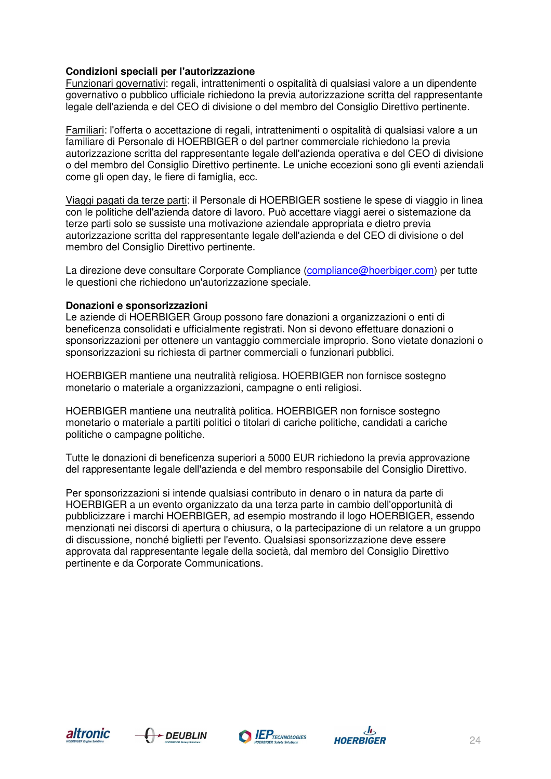# **Condizioni speciali per l'autorizzazione**

Funzionari governativi: regali, intrattenimenti o ospitalità di qualsiasi valore a un dipendente governativo o pubblico ufficiale richiedono la previa autorizzazione scritta del rappresentante legale dell'azienda e del CEO di divisione o del membro del Consiglio Direttivo pertinente.

Familiari: l'offerta o accettazione di regali, intrattenimenti o ospitalità di qualsiasi valore a un familiare di Personale di HOERBIGER o del partner commerciale richiedono la previa autorizzazione scritta del rappresentante legale dell'azienda operativa e del CEO di divisione o del membro del Consiglio Direttivo pertinente. Le uniche eccezioni sono gli eventi aziendali come gli open day, le fiere di famiglia, ecc.

Viaggi pagati da terze parti: il Personale di HOERBIGER sostiene le spese di viaggio in linea con le politiche dell'azienda datore di lavoro. Può accettare viaggi aerei o sistemazione da terze parti solo se sussiste una motivazione aziendale appropriata e dietro previa autorizzazione scritta del rappresentante legale dell'azienda e del CEO di divisione o del membro del Consiglio Direttivo pertinente.

La direzione deve consultare Corporate Compliance (compliance@hoerbiger.com) per tutte le questioni che richiedono un'autorizzazione speciale.

# **Donazioni e sponsorizzazioni**

Le aziende di HOERBIGER Group possono fare donazioni a organizzazioni o enti di beneficenza consolidati e ufficialmente registrati. Non si devono effettuare donazioni o sponsorizzazioni per ottenere un vantaggio commerciale improprio. Sono vietate donazioni o sponsorizzazioni su richiesta di partner commerciali o funzionari pubblici.

HOERBIGER mantiene una neutralità religiosa. HOERBIGER non fornisce sostegno monetario o materiale a organizzazioni, campagne o enti religiosi.

HOERBIGER mantiene una neutralità politica. HOERBIGER non fornisce sostegno monetario o materiale a partiti politici o titolari di cariche politiche, candidati a cariche politiche o campagne politiche.

Tutte le donazioni di beneficenza superiori a 5000 EUR richiedono la previa approvazione del rappresentante legale dell'azienda e del membro responsabile del Consiglio Direttivo.

Per sponsorizzazioni si intende qualsiasi contributo in denaro o in natura da parte di HOERBIGER a un evento organizzato da una terza parte in cambio dell'opportunità di pubblicizzare i marchi HOERBIGER, ad esempio mostrando il logo HOERBIGER, essendo menzionati nei discorsi di apertura o chiusura, o la partecipazione di un relatore a un gruppo di discussione, nonché biglietti per l'evento. Qualsiasi sponsorizzazione deve essere approvata dal rappresentante legale della società, dal membro del Consiglio Direttivo pertinente e da Corporate Communications.







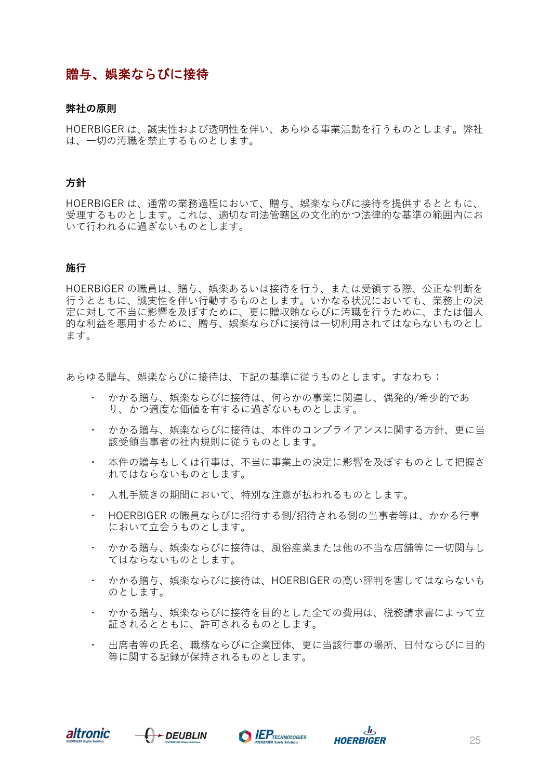# 贈与、娯楽ならびに接待

#### **弊社の原則**

HOERBIGER は、誠実性および透明性を伴い、あらゆる事業活動を行うものとします。弊社 は、一切の汚職を禁止するものとします。

# **方針**

HOERBIGER は、通常の業務過程において、贈与、娯楽ならびに接待を提供するとともに、 受理するものとします。これは、適切な司法管轄区の文化的かつ法律的な基準の範囲内にお いて行われるに過ぎないものとします。

#### **施行**

HOERBIGER の職員は、贈与、娯楽あるいは接待を行う、または受領する際、公正な判断を 行うとともに、誠実性を伴い行動するものとします。いかなる状況においても、業務上の決 定に対して不当に影響を及ぼすために、更に贈収賄ならびに汚職を行うために、または個人 的な利益を悪用するために、贈与、娯楽ならびに接待は一切利用されてはならないものとし ます。

あらゆる贈与、娯楽ならびに接待は、下記の基準に従うものとします。すなわち:

- ・ かかる贈与、娯楽ならびに接待は、何らかの事業に関連し、偶発的/希少的であ り、かつ適度な価値を有するに過ぎないものとします。
- ・ かかる贈与、娯楽ならびに接待は、本件のコンプライアンスに関する方針、更に当 該受領当事者の社内規則に従うものとします。
- ・ 本件の贈与もしくは行事は、不当に事業上の決定に影響を及ぼすものとして把握さ れてはならないものとします。
- ・ 入札手続きの期間において、特別な注意が払われるものとします。
- ・ HOERBIGER の職員ならびに招待する側/招待される側の当事者等は、かかる行事 において立会うものとします。
- ・ かかる贈与、娯楽ならびに接待は、風俗産業または他の不当な店舗等に一切関与し てはならないものとします。
- ・ かかる贈与、娯楽ならびに接待は、HOERBIGER の高い評判を害してはならないも のとします。
- ・ かかる贈与、娯楽ならびに接待を目的とした全ての費用は、税務請求書によって立 証されるとともに、許可されるものとします。
- ・ 出席者等の氏名、職務ならびに企業団体、更に当該行事の場所、日付ならびに目的 等に関する記録が保持されるものとします。







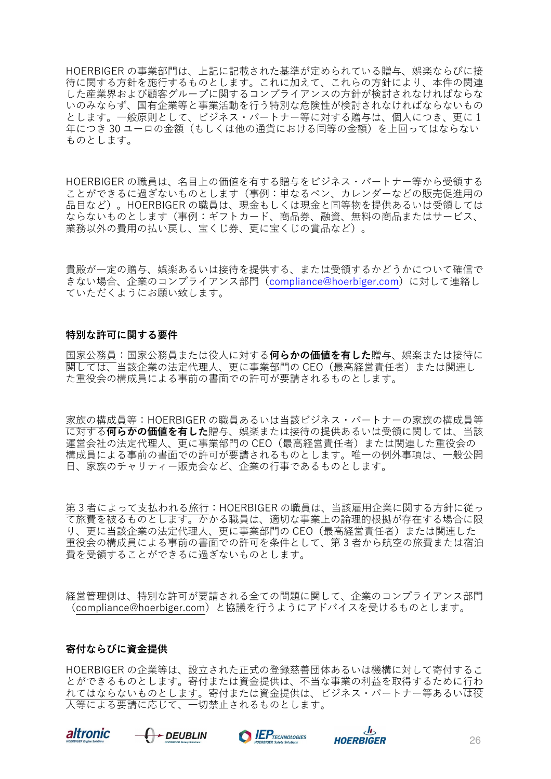HOERBIGER の事業部門は、上記に記載された基準が定められている贈与、娯楽ならびに接 待に関する方針を施行するものとします。これに加えて、これらの方針により、本件の関連 した産業界および顧客グループに関するコンプライアンスの方針が検討されなければならな いのみならず、国有企業等と事業活動を行う特別な危険性が検討されなければならないもの とします。一般原則として、ビジネス・パートナー等に対する贈与は、個人につき、更に 1 年につき 30 ユーロの金額(もしくは他の通貨における同等の金額)を上回ってはならない ものとします。

HOERBIGER の職員は、名目上の価値を有する贈与をビジネス・パートナー等から受領する ことができるに過ぎないものとします(事例:単なるペン、カレンダーなどの販売促進用の 品目など)。HOERBIGER の職員は、現金もしくは現金と同等物を提供あるいは受領しては ならないものとします(事例:ギフトカード、商品券、融資、無料の商品またはサービス、 業務以外の費用の払い戻し、宝くじ券、更に宝くじの賞品など)。

貴殿が一定の贈与、娯楽あるいは接待を提供する、または受領するかどうかについて確信で きない場合、企業のコンプライアンス部門(compliance@hoerbiger.com)に対して連絡し ていただくようにお願い致します。

#### **特別な許可に関する要件**

国家公務員:国家公務員または役人に対する**何らかの価値を有した**贈与、娯楽または接待に 関しては、当該企業の法定代理人、更に事業部門の CEO(最高経営責任者)または関連し た重役会の構成員による事前の書面での許可が要請されるものとします。

家族の構成員等:HOERBIGER の職員あるいは当該ビジネス・パートナーの家族の構成員等 に対する**何らかの価値を有した**贈与、娯楽または接待の提供あるいは受領に関しては、当該 運営会社の法定代理人、更に事業部門の CEO(最高経営責任者)または関連した重役会の 構成員による事前の書面での許可が要請されるものとします。唯一の例外事項は、一般公開 日、家族のチャリティー販売会など、企業の行事であるものとします。

第 3 者によって支払われる旅行:HOERBIGER の職員は、当該雇用企業に関する方針に従っ て旅費を被るものとします。かかる職員は、適切な事業上の論理的根拠が存在する場合に限 り、更に当該企業の法定代理人、更に事業部門の CEO(最高経営責任者)または関連した 重役会の構成員による事前の書面での許可を条件として、第 3 者から航空の旅費または宿泊 費を受領することができるに過ぎないものとします。

経営管理側は、特別な許可が要請される全ての問題に関して、企業のコンプライアンス部門 (compliance@hoerbiger.com)と協議を行うようにアドバイスを受けるものとします。

#### **寄付ならびに資金提供**

HOERBIGER の企業等は、設立された正式の登録慈善団体あるいは機構に対して寄付するこ とができるものとします。寄付または資金提供は、不当な事業の利益を取得するために行わ れてはならないものとします。寄付または資金提供は、ビジネス・パートナー等あるいは役 人等による要請に応じて、一切禁止されるものとします。







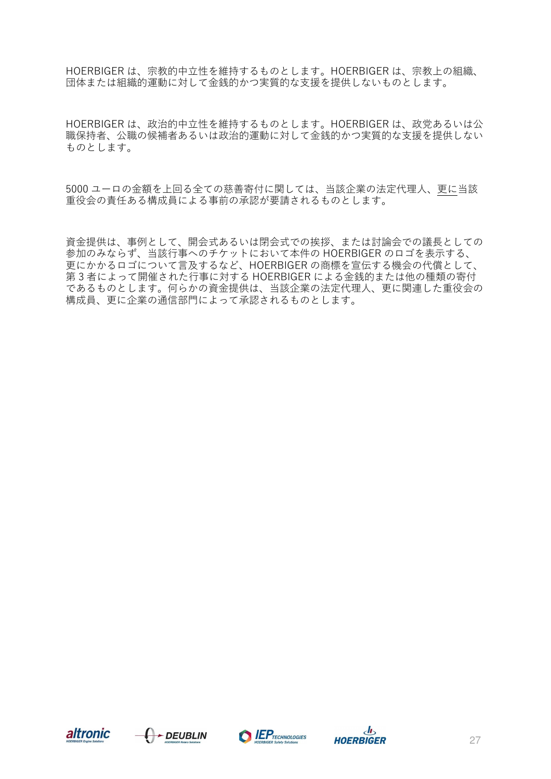HOERBIGER は、宗教的中立性を維持するものとします。HOERBIGER は、宗教上の組織、 団体または組織的運動に対して金銭的かつ実質的な支援を提供しないものとします。

HOERBIGER は、政治的中立性を維持するものとします。HOERBIGER は、政党あるいは公 職保持者、公職の候補者あるいは政治的運動に対して金銭的かつ実質的な支援を提供しない ものとします。

5000 ユーロの金額を上回る全ての慈善寄付に関しては、当該企業の法定代理人、更に当該 重役会の責任ある構成員による事前の承認が要請されるものとします。

資金提供は、事例として、開会式あるいは閉会式での挨拶、または討論会での議⻑としての 参加のみならず、当該行事へのチケットにおいて本件の HOERBIGER のロゴを表示する、 更にかかるロゴについて言及するなど、HOERBIGER の商標を宣伝する機会の代償として、 第 3 者によって開催された行事に対する HOERBIGER による金銭的または他の種類の寄付 であるものとします。何らかの資金提供は、当該企業の法定代理人、更に関連した重役会の 構成員、更に企業の通信部門によって承認されるものとします。







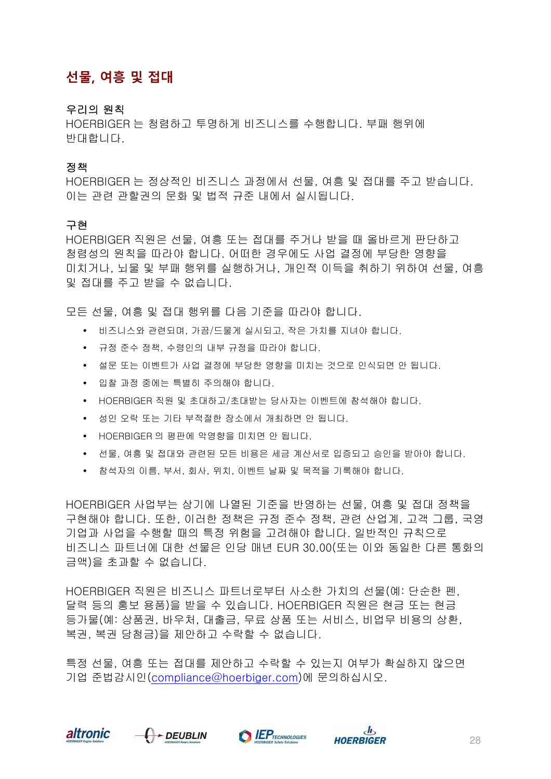# **선물, 여흥 및 접대**

## 우리의 원칙

HOERBIGER 는 청렴하고 투명하게 비즈니스를 수행합니다. 부패 행위에 반대합니다.

#### 정책

HOERBIGER 는 정상적인 비즈니스 과정에서 선물, 여흥 및 접대를 주고 받습니다. 이는 관련 관할권의 문화 및 법적 규준 내에서 실시됩니다.

# 구현

HOERBIGER 직원은 선물, 여흥 또는 접대를 주거나 받을 때 올바르게 판단하고 청렴성의 원칙을 따라야 합니다. 어떠한 경우에도 사업 결정에 부당한 영향을 미치거나, 뇌물 및 부패 행위를 실행하거나, 개인적 이득을 취하기 위하여 선물, 여흥 및 접대를 주고 받을 수 없습니다.

모든 선물, 여흥 및 접대 행위를 다음 기준을 따라야 합니다.

- 비즈니스와 관련되며, 가끔/드물게 실시되고, 작은 가치를 지녀야 합니다.
- 규정 준수 정책, 수령인의 내부 규정을 따라야 합니다.
- 설문 또는 이벤트가 사업 결정에 부당한 영향을 미치는 것으로 인식되면 안 됩니다.
- 입찰 과정 중에는 특별히 주의해야 합니다.
- HOERBIGER 직원 및 초대하고/초대받는 당사자는 이벤트에 참석해야 합니다.
- 성인 오락 또는 기타 부적절한 장소에서 개최하면 안 됩니다.
- HOERBIGER 의 평판에 악영향을 미치면 안 됩니다.
- 선물, 여흥 및 접대와 관련된 모든 비용은 세금 계산서로 입증되고 승인을 받아야 합니다.
- 참석자의 이름, 부서, 회사, 위치, 이벤트 날짜 및 목적을 기록해야 합니다.

HOERBIGER 사업부는 상기에 나열된 기준을 반영하는 선물, 여흥 및 접대 정책을 구현해야 합니다. 또한, 이러한 정책은 규정 준수 정책, 관련 산업계, 고객 그룹, 국영 기업과 사업을 수행할 때의 특정 위험을 고려해야 합니다. 일반적인 규칙으로 비즈니스 파트너에 대한 선물은 인당 매년 EUR 30.00(또는 이와 동일한 다른 통화의 금액)을 초과할 수 없습니다.

HOERBIGER 직원은 비즈니스 파트너로부터 사소한 가치의 선물(예: 단순한 펜, 달력 등의 홍보 용품)을 받을 수 있습니다. HOERBIGER 직원은 현금 또는 현금 등가물(예: 상품권, 바우처, 대출금, 무료 상품 또는 서비스, 비업무 비용의 상환, 복권, 복권 당첨금)을 제안하고 수락할 수 없습니다.

특정 선물, 여흥 또는 접대를 제안하고 수락할 수 있는지 여부가 확실하지 않으면 기업 준법감시인(compliance@hoerbiger.com)에 문의하십시오.







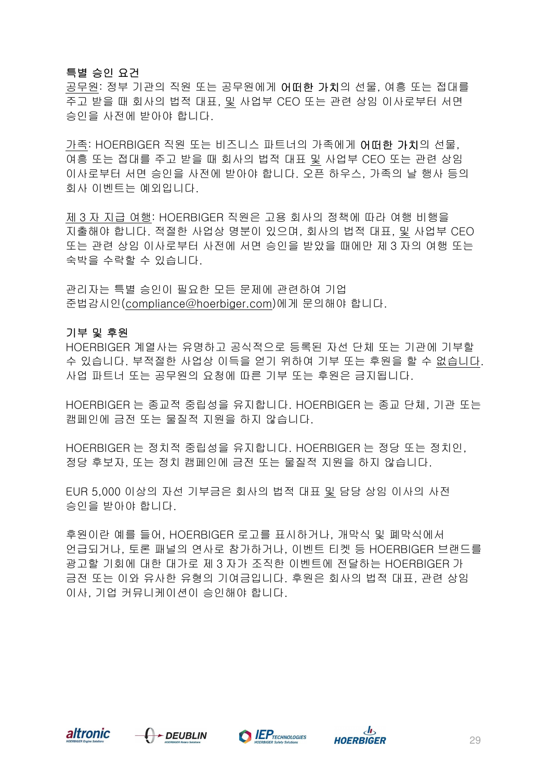# 특별 승인 요건

공무원: 정부 기관의 직원 또는 공무원에게 어떠한 가치의 선물, 여흥 또는 접대를 주고 받을 때 회사의 법적 대표, 및 사업부 CEO 또는 관련 상임 이사로부터 서면 승인을 사전에 받아야 합니다.

가족: HOERBIGER 직원 또는 비즈니스 파트너의 가족에게 어떠한 가치의 선물, 여흥 또는 접대를 주고 받을 때 회사의 법적 대표 및 사업부 CEO 또는 관련 상임 이사로부터 서면 승인을 사전에 받아야 합니다. 오픈 하우스, 가족의 날 행사 등의 회사 이벤트는 예외입니다.

제 3 자 지급 여행: HOERBIGER 직원은 고용 회사의 정책에 따라 여행 비행을 지출해야 합니다. 적절한 사업상 명분이 있으며, 회사의 법적 대표, 및 사업부 CEO 또는 관련 상임 이사로부터 사전에 서면 승인을 받았을 때에만 제 3 자의 여행 또는 숙박을 수락할 수 있습니다.

관리자는 특별 승인이 필요한 모든 문제에 관련하여 기업 준법감시인(compliance@hoerbiger.com)에게 문의해야 합니다.

## 기부 및 후원

HOERBIGER 계열사는 유명하고 공식적으로 등록된 자선 단체 또는 기관에 기부할 수 있습니다. 부적절한 사업상 이득을 얻기 위하여 기부 또는 후원을 할 수 없습니다. 사업 파트너 또는 공무원의 요청에 따른 기부 또는 후원은 금지됩니다.

HOERBIGER 는 종교적 중립성을 유지합니다. HOERBIGER 는 종교 단체, 기관 또는 캠페인에 금전 또는 물질적 지원을 하지 않습니다.

HOERBIGER 는 정치적 중립성을 유지합니다. HOERBIGER 는 정당 또는 정치인, 정당 후보자, 또는 정치 캠페인에 금전 또는 물질적 지원을 하지 않습니다.

EUR 5,000 이상의 자선 기부금은 회사의 법적 대표 및 담당 상임 이사의 사전 승인을 받아야 합니다.

후원이란 예를 들어, HOERBIGER 로고를 표시하거나, 개막식 및 폐막식에서 언급되거나, 토론 패널의 연사로 참가하거나, 이벤트 티켓 등 HOERBIGER 브랜드를 광고할 기회에 대한 대가로 제 3 자가 조직한 이벤트에 전달하는 HOERBIGER 가 금전 또는 이와 유사한 유형의 기여금입니다. 후원은 회사의 법적 대표, 관련 상임 이사, 기업 커뮤니케이션이 승인해야 합니다.







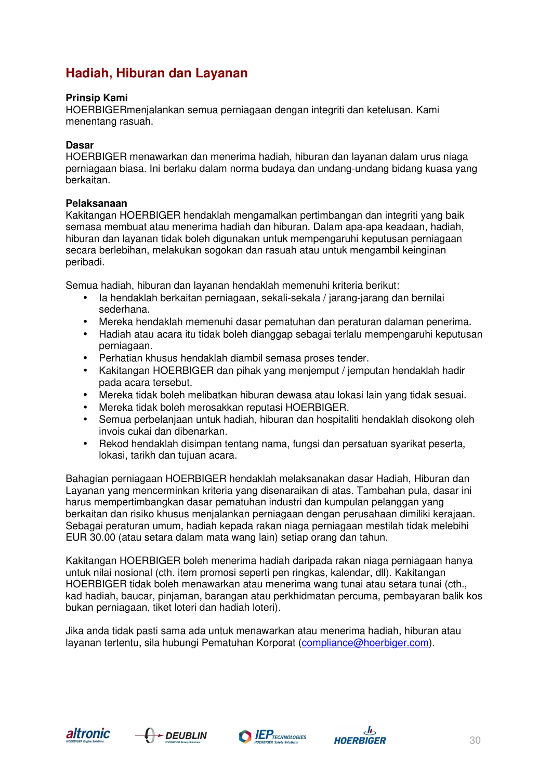# **Hadiah, Hiburan dan Layanan**

# **Prinsip Kami**

HOERBIGERmenjalankan semua perniagaan dengan integriti dan ketelusan. Kami menentang rasuah.

# **Dasar**

HOERBIGER menawarkan dan menerima hadiah, hiburan dan layanan dalam urus niaga perniagaan biasa. Ini berlaku dalam norma budaya dan undang-undang bidang kuasa yang berkaitan.

# **Pelaksanaan**

Kakitangan HOERBIGER hendaklah mengamalkan pertimbangan dan integriti yang baik semasa membuat atau menerima hadiah dan hiburan. Dalam apa-apa keadaan, hadiah, hiburan dan layanan tidak boleh digunakan untuk mempengaruhi keputusan perniagaan secara berlebihan, melakukan sogokan dan rasuah atau untuk mengambil keinginan peribadi.

Semua hadiah, hiburan dan layanan hendaklah memenuhi kriteria berikut:

- Ia hendaklah berkaitan perniagaan, sekali-sekala / jarang-jarang dan bernilai sederhana.
- Mereka hendaklah memenuhi dasar pematuhan dan peraturan dalaman penerima.
- Hadiah atau acara itu tidak boleh dianggap sebagai terlalu mempengaruhi keputusan perniagaan.
- Perhatian khusus hendaklah diambil semasa proses tender.
- Kakitangan HOERBIGER dan pihak yang menjemput / jemputan hendaklah hadir pada acara tersebut.
- Mereka tidak boleh melibatkan hiburan dewasa atau lokasi lain yang tidak sesuai.
- Mereka tidak boleh merosakkan reputasi HOERBIGER.
- Semua perbelanjaan untuk hadiah, hiburan dan hospitaliti hendaklah disokong oleh invois cukai dan dibenarkan.
- Rekod hendaklah disimpan tentang nama, fungsi dan persatuan syarikat peserta, lokasi, tarikh dan tujuan acara.

Bahagian perniagaan HOERBIGER hendaklah melaksanakan dasar Hadiah, Hiburan dan Layanan yang mencerminkan kriteria yang disenaraikan di atas. Tambahan pula, dasar ini harus mempertimbangkan dasar pematuhan industri dan kumpulan pelanggan yang berkaitan dan risiko khusus menjalankan perniagaan dengan perusahaan dimiliki kerajaan. Sebagai peraturan umum, hadiah kepada rakan niaga perniagaan mestilah tidak melebihi EUR 30.00 (atau setara dalam mata wang lain) setiap orang dan tahun.

Kakitangan HOERBIGER boleh menerima hadiah daripada rakan niaga perniagaan hanya untuk nilai nosional (cth. item promosi seperti pen ringkas, kalendar, dll). Kakitangan HOERBIGER tidak boleh menawarkan atau menerima wang tunai atau setara tunai (cth., kad hadiah, baucar, pinjaman, barangan atau perkhidmatan percuma, pembayaran balik kos bukan perniagaan, tiket loteri dan hadiah loteri).

Jika anda tidak pasti sama ada untuk menawarkan atau menerima hadiah, hiburan atau layanan tertentu, sila hubungi Pematuhan Korporat (compliance@hoerbiger.com).







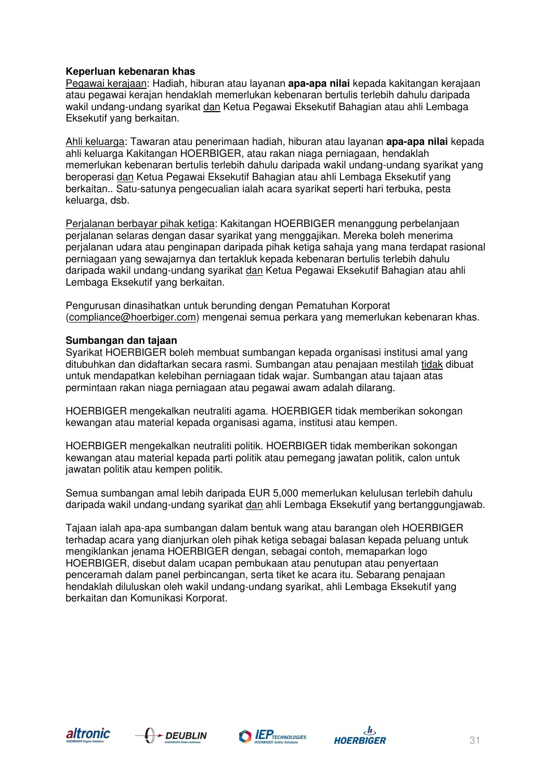# **Keperluan kebenaran khas**

Pegawai kerajaan: Hadiah, hiburan atau layanan **apa-apa nilai** kepada kakitangan kerajaan atau pegawai kerajan hendaklah memerlukan kebenaran bertulis terlebih dahulu daripada wakil undang-undang syarikat dan Ketua Pegawai Eksekutif Bahagian atau ahli Lembaga Eksekutif yang berkaitan.

Ahli keluarga: Tawaran atau penerimaan hadiah, hiburan atau layanan **apa-apa nilai** kepada ahli keluarga Kakitangan HOERBIGER, atau rakan niaga perniagaan, hendaklah memerlukan kebenaran bertulis terlebih dahulu daripada wakil undang-undang syarikat yang beroperasi dan Ketua Pegawai Eksekutif Bahagian atau ahli Lembaga Eksekutif yang berkaitan.. Satu-satunya pengecualian ialah acara syarikat seperti hari terbuka, pesta keluarga, dsb.

Perjalanan berbayar pihak ketiga: Kakitangan HOERBIGER menanggung perbelanjaan perjalanan selaras dengan dasar syarikat yang menggajikan. Mereka boleh menerima perjalanan udara atau penginapan daripada pihak ketiga sahaja yang mana terdapat rasional perniagaan yang sewajarnya dan tertakluk kepada kebenaran bertulis terlebih dahulu daripada wakil undang-undang syarikat dan Ketua Pegawai Eksekutif Bahagian atau ahli Lembaga Eksekutif yang berkaitan.

Pengurusan dinasihatkan untuk berunding dengan Pematuhan Korporat (compliance@hoerbiger.com) mengenai semua perkara yang memerlukan kebenaran khas.

# **Sumbangan dan tajaan**

Syarikat HOERBIGER boleh membuat sumbangan kepada organisasi institusi amal yang ditubuhkan dan didaftarkan secara rasmi. Sumbangan atau penajaan mestilah tidak dibuat untuk mendapatkan kelebihan perniagaan tidak wajar. Sumbangan atau tajaan atas permintaan rakan niaga perniagaan atau pegawai awam adalah dilarang.

HOERBIGER mengekalkan neutraliti agama. HOERBIGER tidak memberikan sokongan kewangan atau material kepada organisasi agama, institusi atau kempen.

HOERBIGER mengekalkan neutraliti politik. HOERBIGER tidak memberikan sokongan kewangan atau material kepada parti politik atau pemegang jawatan politik, calon untuk jawatan politik atau kempen politik.

Semua sumbangan amal lebih daripada EUR 5,000 memerlukan kelulusan terlebih dahulu daripada wakil undang-undang syarikat dan ahli Lembaga Eksekutif yang bertanggungjawab.

Tajaan ialah apa-apa sumbangan dalam bentuk wang atau barangan oleh HOERBIGER terhadap acara yang dianjurkan oleh pihak ketiga sebagai balasan kepada peluang untuk mengiklankan jenama HOERBIGER dengan, sebagai contoh, memaparkan logo HOERBIGER, disebut dalam ucapan pembukaan atau penutupan atau penyertaan penceramah dalam panel perbincangan, serta tiket ke acara itu. Sebarang penajaan hendaklah diluluskan oleh wakil undang-undang syarikat, ahli Lembaga Eksekutif yang berkaitan dan Komunikasi Korporat.







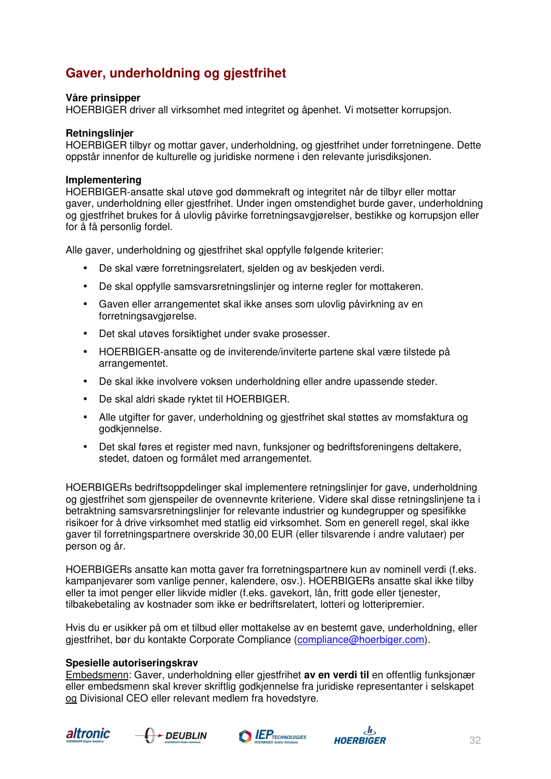# **Gaver, underholdning og gjestfrihet**

## **Våre prinsipper**

HOERBIGER driver all virksomhet med integritet og åpenhet. Vi motsetter korrupsjon.

## **Retningslinjer**

HOERBIGER tilbyr og mottar gaver, underholdning, og gjestfrihet under forretningene. Dette oppstår innenfor de kulturelle og juridiske normene i den relevante jurisdiksjonen.

## **Implementering**

HOERBIGER-ansatte skal utøve god dømmekraft og integritet når de tilbyr eller mottar gaver, underholdning eller gjestfrihet. Under ingen omstendighet burde gaver, underholdning og gjestfrihet brukes for å ulovlig påvirke forretningsavgjørelser, bestikke og korrupsjon eller for å få personlig fordel.

Alle gaver, underholdning og gjestfrihet skal oppfylle følgende kriterier:

- De skal være forretningsrelatert, sjelden og av beskjeden verdi.
- De skal oppfylle samsvarsretningslinjer og interne regler for mottakeren.
- Gaven eller arrangementet skal ikke anses som ulovlig påvirkning av en forretningsavgjørelse.
- Det skal utøves forsiktighet under svake prosesser.
- HOERBIGER-ansatte og de inviterende/inviterte partene skal være tilstede på arrangementet.
- De skal ikke involvere voksen underholdning eller andre upassende steder.
- De skal aldri skade ryktet til HOERBIGER.
- Alle utgifter for gaver, underholdning og gjestfrihet skal støttes av momsfaktura og godkjennelse.
- Det skal føres et register med navn, funksioner og bedriftsforeningens deltakere, stedet, datoen og formålet med arrangementet.

HOERBIGERs bedriftsoppdelinger skal implementere retningslinjer for gave, underholdning og gjestfrihet som gjenspeiler de ovennevnte kriteriene. Videre skal disse retningslinjene ta i betraktning samsvarsretningslinjer for relevante industrier og kundegrupper og spesifikke risikoer for å drive virksomhet med statlig eid virksomhet. Som en generell regel, skal ikke gaver til forretningspartnere overskride 30,00 EUR (eller tilsvarende i andre valutaer) per person og år.

HOERBIGERs ansatte kan motta gaver fra forretningspartnere kun av nominell verdi (f.eks. kampanjevarer som vanlige penner, kalendere, osv.). HOERBIGERs ansatte skal ikke tilby eller ta imot penger eller likvide midler (f.eks. gavekort, lån, fritt gode eller tjenester, tilbakebetaling av kostnader som ikke er bedriftsrelatert, lotteri og lotteripremier.

Hvis du er usikker på om et tilbud eller mottakelse av en bestemt gave, underholdning, eller gjestfrihet, bør du kontakte Corporate Compliance (compliance@hoerbiger.com).

#### **Spesielle autoriseringskrav**

Embedsmenn: Gaver, underholdning eller gjestfrihet **av en verdi til** en offentlig funksjonær eller embedsmenn skal krever skriftlig godkjennelse fra juridiske representanter i selskapet og Divisional CEO eller relevant medlem fra hovedstyre.







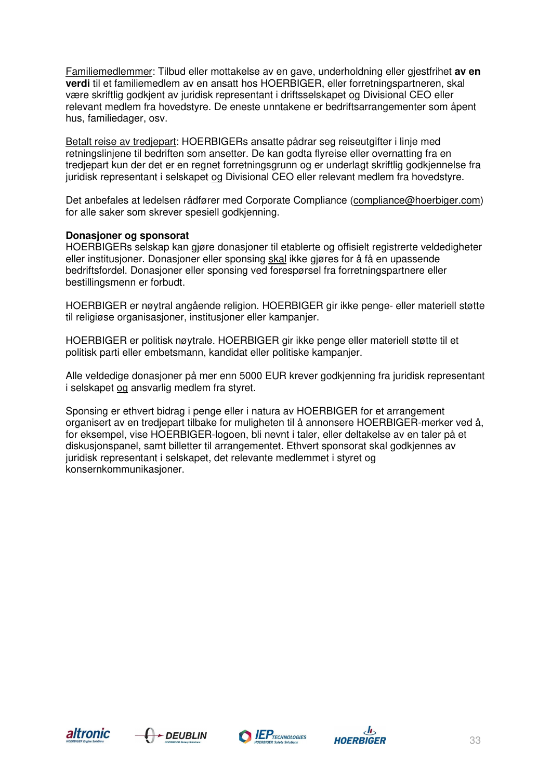Familiemedlemmer: Tilbud eller mottakelse av en gave, underholdning eller gjestfrihet **av en verdi** til et familiemedlem av en ansatt hos HOERBIGER, eller forretningspartneren, skal være skriftlig godkjent av juridisk representant i driftsselskapet og Divisional CEO eller relevant medlem fra hovedstyre. De eneste unntakene er bedriftsarrangementer som åpent hus, familiedager, osv.

Betalt reise av tredjepart: HOERBIGERs ansatte pådrar seg reiseutgifter i linje med retningslinjene til bedriften som ansetter. De kan godta flyreise eller overnatting fra en tredjepart kun der det er en regnet forretningsgrunn og er underlagt skriftlig godkjennelse fra juridisk representant i selskapet og Divisional CEO eller relevant medlem fra hovedstyre.

Det anbefales at ledelsen rådfører med Corporate Compliance (compliance@hoerbiger.com) for alle saker som skrever spesiell godkjenning.

## **Donasjoner og sponsorat**

HOERBIGERs selskap kan gjøre donasjoner til etablerte og offisielt registrerte veldedigheter eller institusjoner. Donasjoner eller sponsing skal ikke gjøres for å få en upassende bedriftsfordel. Donasjoner eller sponsing ved forespørsel fra forretningspartnere eller bestillingsmenn er forbudt.

HOERBIGER er nøytral angående religion. HOERBIGER gir ikke penge- eller materiell støtte til religiøse organisasjoner, institusjoner eller kampanjer.

HOERBIGER er politisk nøytrale. HOERBIGER gir ikke penge eller materiell støtte til et politisk parti eller embetsmann, kandidat eller politiske kampanjer.

Alle veldedige donasjoner på mer enn 5000 EUR krever godkjenning fra juridisk representant i selskapet og ansvarlig medlem fra styret.

Sponsing er ethvert bidrag i penge eller i natura av HOERBIGER for et arrangement organisert av en tredjepart tilbake for muligheten til å annonsere HOERBIGER-merker ved å, for eksempel, vise HOERBIGER-logoen, bli nevnt i taler, eller deltakelse av en taler på et diskusjonspanel, samt billetter til arrangementet. Ethvert sponsorat skal godkjennes av juridisk representant i selskapet, det relevante medlemmet i styret og konsernkommunikasjoner.







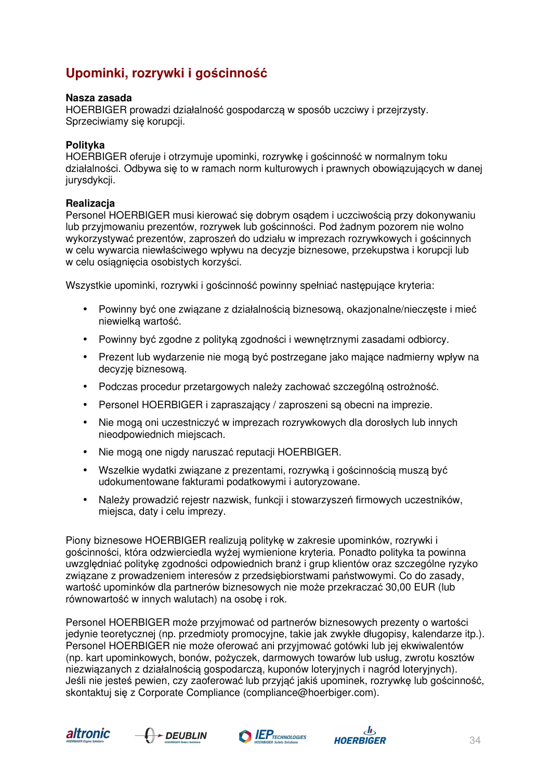# **Upominki, rozrywki i gościnność**

# **Nasza zasada**

HOERBIGER prowadzi działalność gospodarczą w sposób uczciwy i przejrzysty. Sprzeciwiamy się korupcji.

# **Polityka**

HOERBIGER oferuje i otrzymuje upominki, rozrywkę i gościnność w normalnym toku działalności. Odbywa się to w ramach norm kulturowych i prawnych obowiązujących w danej jurysdykcji.

# **Realizacja**

Personel HOERBIGER musi kierować się dobrym osądem i uczciwością przy dokonywaniu lub przyjmowaniu prezentów, rozrywek lub gościnności. Pod żadnym pozorem nie wolno wykorzystywać prezentów, zaproszeń do udziału w imprezach rozrywkowych i gościnnych w celu wywarcia niewłaściwego wpływu na decyzje biznesowe, przekupstwa i korupcji lub w celu osiągnięcia osobistych korzyści.

Wszystkie upominki, rozrywki i gościnność powinny spełniać następujące kryteria:

- Powinny być one związane z działalnością biznesową, okazjonalne/nieczęste i mieć niewielką wartość.
- Powinny być zgodne z polityką zgodności i wewnętrznymi zasadami odbiorcy.
- Prezent lub wydarzenie nie mogą być postrzegane jako mające nadmierny wpływ na decyzję biznesową.
- Podczas procedur przetargowych należy zachować szczególną ostrożność.
- Personel HOERBIGER i zapraszający / zaproszeni są obecni na imprezie.
- Nie mogą oni uczestniczyć w imprezach rozrywkowych dla dorosłych lub innych nieodpowiednich miejscach.
- Nie mogą one nigdy naruszać reputacji HOERBIGER.
- Wszelkie wydatki związane z prezentami, rozrywką i gościnnością muszą być udokumentowane fakturami podatkowymi i autoryzowane.
- Należy prowadzić rejestr nazwisk, funkcji i stowarzyszeń firmowych uczestników, miejsca, daty i celu imprezy.

Piony biznesowe HOERBIGER realizują politykę w zakresie upominków, rozrywki i gościnności, która odzwierciedla wyżej wymienione kryteria. Ponadto polityka ta powinna uwzględniać politykę zgodności odpowiednich branż i grup klientów oraz szczególne ryzyko związane z prowadzeniem interesów z przedsiębiorstwami państwowymi. Co do zasady, wartość upominków dla partnerów biznesowych nie może przekraczać 30,00 EUR (lub równowartość w innych walutach) na osobę i rok.

Personel HOERBIGER może przyjmować od partnerów biznesowych prezenty o wartości jedynie teoretycznej (np. przedmioty promocyjne, takie jak zwykłe długopisy, kalendarze itp.). Personel HOERBIGER nie może oferować ani przyjmować gotówki lub jej ekwiwalentów (np. kart upominkowych, bonów, pożyczek, darmowych towarów lub usług, zwrotu kosztów niezwiązanych z działalnością gospodarczą, kuponów loteryjnych i nagród loteryjnych). Jeśli nie jesteś pewien, czy zaoferować lub przyjąć jakiś upominek, rozrywkę lub gościnność, skontaktuj się z Corporate Compliance (compliance@hoerbiger.com).







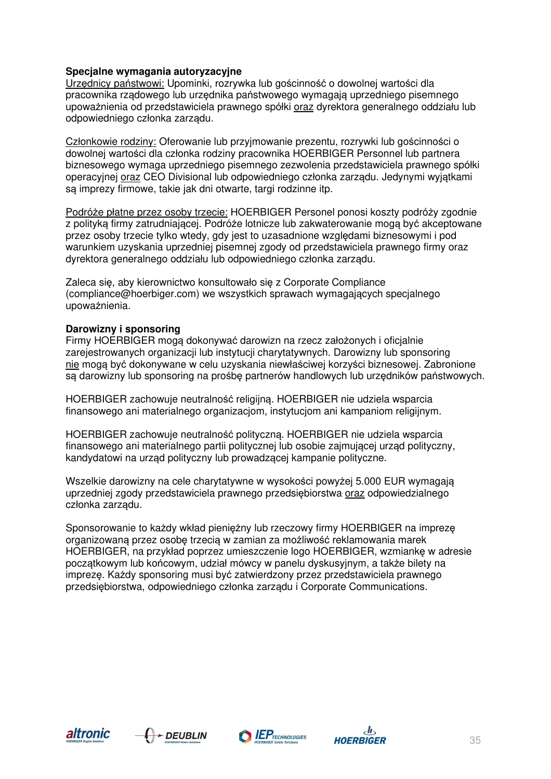# **Specjalne wymagania autoryzacyjne**

Urzędnicy państwowi: Upominki, rozrywka lub gościnność o dowolnej wartości dla pracownika rządowego lub urzędnika państwowego wymagają uprzedniego pisemnego upoważnienia od przedstawiciela prawnego spółki oraz dyrektora generalnego oddziału lub odpowiedniego członka zarządu.

Członkowie rodziny: Oferowanie lub przyjmowanie prezentu, rozrywki lub gościnności o dowolnej wartości dla członka rodziny pracownika HOERBIGER Personnel lub partnera biznesowego wymaga uprzedniego pisemnego zezwolenia przedstawiciela prawnego spółki operacyjnej oraz CEO Divisional lub odpowiedniego członka zarządu. Jedynymi wyjątkami są imprezy firmowe, takie jak dni otwarte, targi rodzinne itp.

Podróże płatne przez osoby trzecie: HOERBIGER Personel ponosi koszty podróży zgodnie z polityką firmy zatrudniającej. Podróże lotnicze lub zakwaterowanie mogą być akceptowane przez osoby trzecie tylko wtedy, gdy jest to uzasadnione względami biznesowymi i pod warunkiem uzyskania uprzedniej pisemnej zgody od przedstawiciela prawnego firmy oraz dyrektora generalnego oddziału lub odpowiedniego członka zarządu.

Zaleca się, aby kierownictwo konsultowało się z Corporate Compliance (compliance@hoerbiger.com) we wszystkich sprawach wymagających specjalnego upoważnienia.

# **Darowizny i sponsoring**

Firmy HOERBIGER mogą dokonywać darowizn na rzecz założonych i oficjalnie zarejestrowanych organizacji lub instytucji charytatywnych. Darowizny lub sponsoring nie mogą być dokonywane w celu uzyskania niewłaściwej korzyści biznesowej. Zabronione są darowizny lub sponsoring na prośbę partnerów handlowych lub urzędników państwowych.

HOERBIGER zachowuje neutralność religijną. HOERBIGER nie udziela wsparcia finansowego ani materialnego organizacjom, instytucjom ani kampaniom religijnym.

HOERBIGER zachowuje neutralność polityczną. HOERBIGER nie udziela wsparcia finansowego ani materialnego partii politycznej lub osobie zajmującej urząd polityczny, kandydatowi na urząd polityczny lub prowadzącej kampanie polityczne.

Wszelkie darowizny na cele charytatywne w wysokości powyżej 5.000 EUR wymagają uprzedniej zgody przedstawiciela prawnego przedsiębiorstwa oraz odpowiedzialnego członka zarządu.

Sponsorowanie to każdy wkład pieniężny lub rzeczowy firmy HOERBIGER na imprezę organizowaną przez osobę trzecią w zamian za możliwość reklamowania marek HOERBIGER, na przykład poprzez umieszczenie logo HOERBIGER, wzmiankę w adresie początkowym lub końcowym, udział mówcy w panelu dyskusyjnym, a także bilety na imprezę. Każdy sponsoring musi być zatwierdzony przez przedstawiciela prawnego przedsiębiorstwa, odpowiedniego członka zarządu i Corporate Communications. İ







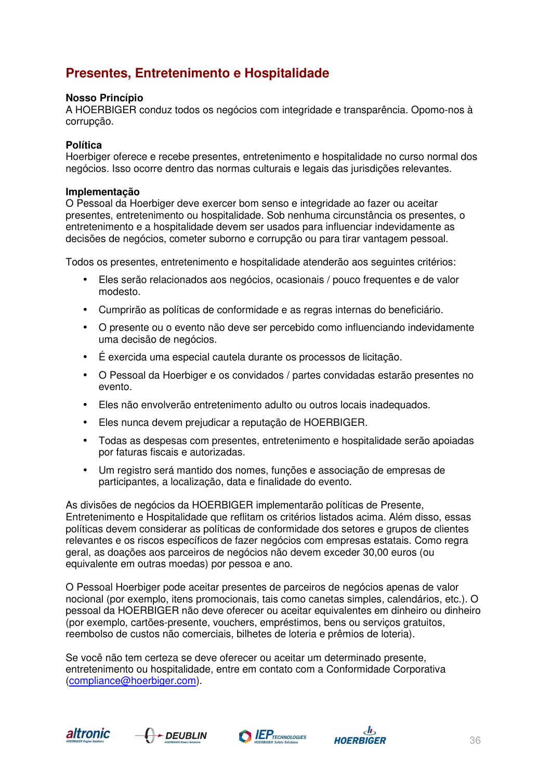# **Presentes, Entretenimento e Hospitalidade**

# **Nosso Princípio**

A HOERBIGER conduz todos os negócios com integridade e transparência. Opomo-nos à corrupção.

# **Política**

Hoerbiger oferece e recebe presentes, entretenimento e hospitalidade no curso normal dos negócios. Isso ocorre dentro das normas culturais e legais das jurisdições relevantes.

## **Implementação**

O Pessoal da Hoerbiger deve exercer bom senso e integridade ao fazer ou aceitar presentes, entretenimento ou hospitalidade. Sob nenhuma circunstância os presentes, o entretenimento e a hospitalidade devem ser usados para influenciar indevidamente as decisões de negócios, cometer suborno e corrupção ou para tirar vantagem pessoal.

Todos os presentes, entretenimento e hospitalidade atenderão aos seguintes critérios:

- Eles serão relacionados aos negócios, ocasionais / pouco frequentes e de valor modesto.
- Cumprirão as políticas de conformidade e as regras internas do beneficiário.
- O presente ou o evento não deve ser percebido como influenciando indevidamente uma decisão de negócios.
- É exercida uma especial cautela durante os processos de licitação.
- O Pessoal da Hoerbiger e os convidados / partes convidadas estarão presentes no evento.
- Eles não envolverão entretenimento adulto ou outros locais inadequados.
- Eles nunca devem prejudicar a reputação de HOERBIGER.
- Todas as despesas com presentes, entretenimento e hospitalidade serão apoiadas por faturas fiscais e autorizadas.
- Um registro será mantido dos nomes, funções e associação de empresas de participantes, a localização, data e finalidade do evento.

As divisões de negócios da HOERBIGER implementarão políticas de Presente, Entretenimento e Hospitalidade que reflitam os critérios listados acima. Além disso, essas políticas devem considerar as políticas de conformidade dos setores e grupos de clientes relevantes e os riscos específicos de fazer negócios com empresas estatais. Como regra geral, as doações aos parceiros de negócios não devem exceder 30,00 euros (ou equivalente em outras moedas) por pessoa e ano.

O Pessoal Hoerbiger pode aceitar presentes de parceiros de negócios apenas de valor nocional (por exemplo, itens promocionais, tais como canetas simples, calendários, etc.). O pessoal da HOERBIGER não deve oferecer ou aceitar equivalentes em dinheiro ou dinheiro (por exemplo, cartões-presente, vouchers, empréstimos, bens ou serviços gratuitos, reembolso de custos não comerciais, bilhetes de loteria e prêmios de loteria).

Se você não tem certeza se deve oferecer ou aceitar um determinado presente, entretenimento ou hospitalidade, entre em contato com a Conformidade Corporativa (compliance@hoerbiger.com).







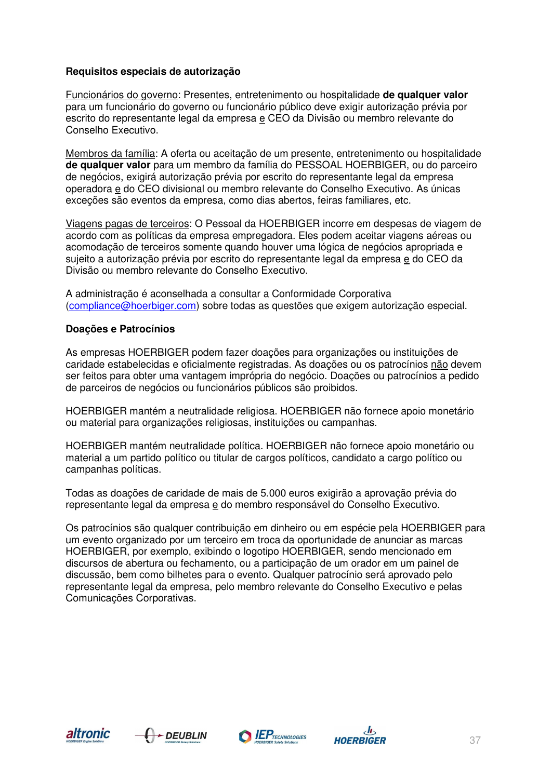# **Requisitos especiais de autorização**

Funcionários do governo: Presentes, entretenimento ou hospitalidade **de qualquer valor** para um funcionário do governo ou funcionário público deve exigir autorização prévia por escrito do representante legal da empresa e CEO da Divisão ou membro relevante do Conselho Executivo.

Membros da família: A oferta ou aceitação de um presente, entretenimento ou hospitalidade **de qualquer valor** para um membro da família do PESSOAL HOERBIGER, ou do parceiro de negócios, exigirá autorização prévia por escrito do representante legal da empresa operadora e do CEO divisional ou membro relevante do Conselho Executivo. As únicas exceções são eventos da empresa, como dias abertos, feiras familiares, etc.

Viagens pagas de terceiros: O Pessoal da HOERBIGER incorre em despesas de viagem de acordo com as políticas da empresa empregadora. Eles podem aceitar viagens aéreas ou acomodação de terceiros somente quando houver uma lógica de negócios apropriada e sujeito a autorização prévia por escrito do representante legal da empresa e do CEO da Divisão ou membro relevante do Conselho Executivo.

A administração é aconselhada a consultar a Conformidade Corporativa (compliance@hoerbiger.com) sobre todas as questões que exigem autorização especial.

# **Doações e Patrocínios**

As empresas HOERBIGER podem fazer doações para organizações ou instituições de caridade estabelecidas e oficialmente registradas. As doações ou os patrocínios não devem ser feitos para obter uma vantagem imprópria do negócio. Doações ou patrocínios a pedido de parceiros de negócios ou funcionários públicos são proibidos.

HOERBIGER mantém a neutralidade religiosa. HOERBIGER não fornece apoio monetário ou material para organizações religiosas, instituições ou campanhas.

HOERBIGER mantém neutralidade política. HOERBIGER não fornece apoio monetário ou material a um partido político ou titular de cargos políticos, candidato a cargo político ou campanhas políticas.

Todas as doações de caridade de mais de 5.000 euros exigirão a aprovação prévia do representante legal da empresa e do membro responsável do Conselho Executivo.

Os patrocínios são qualquer contribuição em dinheiro ou em espécie pela HOERBIGER para um evento organizado por um terceiro em troca da oportunidade de anunciar as marcas HOERBIGER, por exemplo, exibindo o logotipo HOERBIGER, sendo mencionado em discursos de abertura ou fechamento, ou a participação de um orador em um painel de discussão, bem como bilhetes para o evento. Qualquer patrocínio será aprovado pelo representante legal da empresa, pelo membro relevante do Conselho Executivo e pelas Comunicações Corporativas.







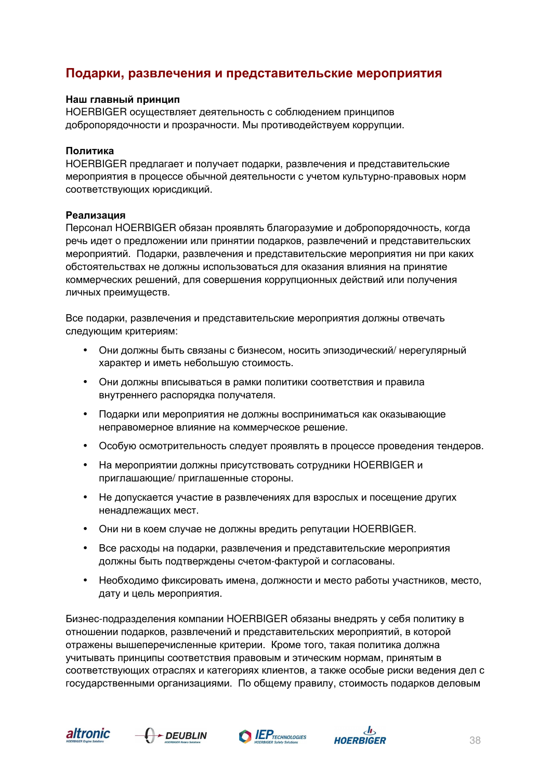# **Подарки, развлечения и представительские мероприятия**

## **Наш главный принцип**

HOERBIGER осуществляет деятельность с соблюдением принципов добропорядочности и прозрачности. Мы противодействуем коррупции.

# **Политика**

HOERBIGER предлагает и получает подарки, развлечения и представительские мероприятия в процессе обычной деятельности с учетом культурно-правовых норм соответствующих юрисдикций.

## **Реализация**

Персонал HOERBIGER обязан проявлять благоразумие и добропорядочность, когда речь идет о предложении или принятии подарков, развлечений и представительских мероприятий. Подарки, развлечения и представительские мероприятия ни при каких обстоятельствах не должны использоваться для оказания влияния на принятие коммерческих решений, для совершения коррупционных действий или получения личных преимуществ.

Все подарки, развлечения и представительские мероприятия должны отвечать следующим критериям:

- Они должны быть связаны с бизнесом, носить эпизодический/ нерегулярный характер и иметь небольшую стоимость.
- Они должны вписываться в рамки политики соответствия и правила внутреннего распорядка получателя.
- Подарки или мероприятия не должны восприниматься как оказывающие неправомерное влияние на коммерческое решение.
- Особую осмотрительность следует проявлять в процессе проведения тендеров.
- На мероприятии должны присутствовать сотрудники HOERBIGER и приглашающие/ приглашенные стороны.
- Не допускается участие в развлечениях для взрослых и посещение других ненадлежащих мест.
- Они ни в коем случае не должны вредить репутации HOERBIGER.
- Все расходы на подарки, развлечения и представительские мероприятия должны быть подтверждены счетом-фактурой и согласованы.
- Необходимо фиксировать имена, должности и место работы участников, место, дату и цель мероприятия.

Бизнес-подразделения компании HOERBIGER обязаны внедрять у себя политику в отношении подарков, развлечений и представительских мероприятий, в которой отражены вышеперечисленные критерии. Кроме того, такая политика должна учитывать принципы соответствия правовым и этическим нормам, принятым в соответствующих отраслях и категориях клиентов, а также особые риски ведения дел с государственными организациями. По общему правилу, стоимость подарков деловым







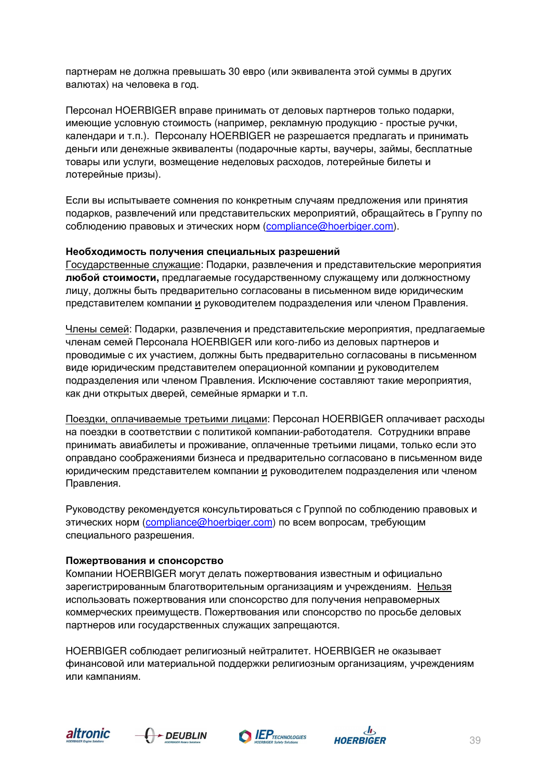партнерам не должна превышать 30 евро (или эквивалента этой суммы в других валютах) на человека в год.

Персонал HOERBIGER вправе принимать от деловых партнеров только подарки, имеющие условную стоимость (например, рекламную продукцию - простые ручки, календари и т.п.). Персоналу HOERBIGER не разрешается предлагать и принимать деньги или денежные эквиваленты (подарочные карты, ваучеры, займы, бесплатные товары или услуги, возмещение неделовых расходов, лотерейные билеты и лотерейные призы).

Если вы испытываете сомнения по конкретным случаям предложения или принятия подарков, развлечений или представительских мероприятий, обращайтесь в Группу по соблюдению правовых и этических норм (compliance@hoerbiger.com).

# **Необходимость получения специальных разрешений**

Государственные служащие: Подарки, развлечения и представительские мероприятия **любой стоимости,** предлагаемые государственному служащему или должностному лицу, должны быть предварительно согласованы в письменном виде юридическим представителем компании и руководителем подразделения или членом Правления.

Члены семей: Подарки, развлечения и представительские мероприятия, предлагаемые членам семей Персонала HOERBIGER или кого-либо из деловых партнеров и проводимые с их участием, должны быть предварительно согласованы в письменном виде юридическим представителем операционной компании и руководителем подразделения или членом Правления. Исключение составляют такие мероприятия, как дни открытых дверей, семейные ярмарки и т.п.

Поездки, оплачиваемые третьими лицами: Персонал HOERBIGER оплачивает расходы на поездки в соответствии с политикой компании-работодателя. Сотрудники вправе принимать авиабилеты и проживание, оплаченные третьими лицами, только если это оправдано соображениями бизнеса и предварительно согласовано в письменном виде юридическим представителем компании и руководителем подразделения или членом Правления.

Руководству рекомендуется консультироваться с Группой по соблюдению правовых и этических норм (compliance@hoerbiger.com) по всем вопросам, требующим специального разрешения.

# **Пожертвования и спонсорство**

Компании HOERBIGER могут делать пожертвования известным и официально зарегистрированным благотворительным организациям и учреждениям. Нельзя использовать пожертвования или спонсорство для получения неправомерных коммерческих преимуществ. Пожертвования или спонсорство по просьбе деловых партнеров или государственных служащих запрещаются.

HOERBIGER соблюдает религиозный нейтралитет. HOERBIGER не оказывает финансовой или материальной поддержки религиозным организациям, учреждениям или кампаниям.







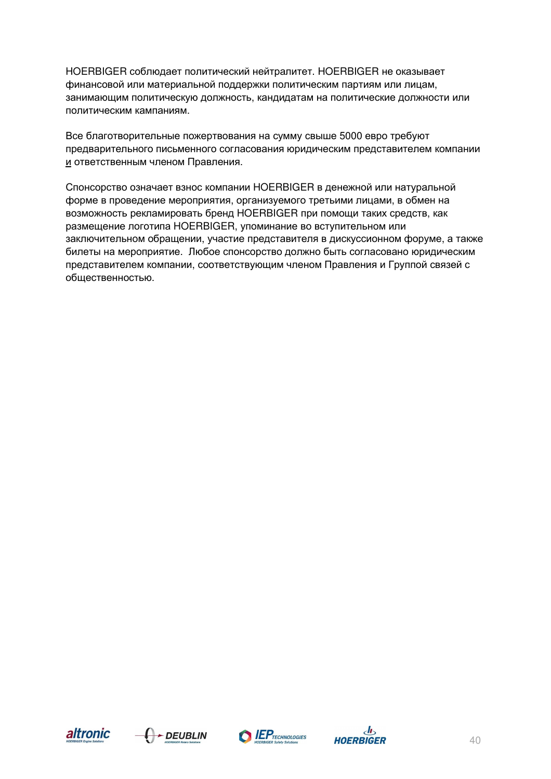HOERBIGER соблюдает политический нейтралитет. HOERBIGER не оказывает финансовой или материальной поддержки политическим партиям или лицам, занимающим политическую должность, кандидатам на политические должности или политическим кампаниям.

Все благотворительные пожертвования на сумму свыше 5000 евро требуют предварительного письменного согласования юридическим представителем компании и ответственным членом Правления.

Спонсорство означает взнос компании HOERBIGER в денежной или натуральной форме в проведение мероприятия, организуемого третьими лицами, в обмен на возможность рекламировать бренд HOERBIGER при помощи таких средств, как размещение логотипа HOERBIGER, упоминание во вступительном или заключительном обращении, участие представителя в дискуссионном форуме, а также билеты на мероприятие. Любое спонсорство должно быть согласовано юридическим представителем компании, соответствующим членом Правления и Группой связей с общественностью.







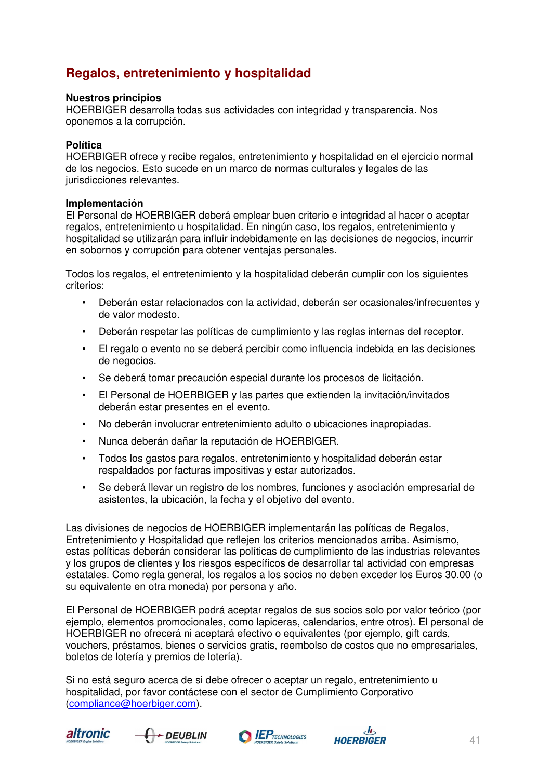# **Regalos, entretenimiento y hospitalidad**

# **Nuestros principios**

HOERBIGER desarrolla todas sus actividades con integridad y transparencia. Nos oponemos a la corrupción.

# **Política**

HOERBIGER ofrece y recibe regalos, entretenimiento y hospitalidad en el ejercicio normal de los negocios. Esto sucede en un marco de normas culturales y legales de las jurisdicciones relevantes.

## **Implementación**

El Personal de HOERBIGER deberá emplear buen criterio e integridad al hacer o aceptar regalos, entretenimiento u hospitalidad. En ningún caso, los regalos, entretenimiento y hospitalidad se utilizarán para influir indebidamente en las decisiones de negocios, incurrir en sobornos y corrupción para obtener ventajas personales.

Todos los regalos, el entretenimiento y la hospitalidad deberán cumplir con los siguientes criterios:

- Deberán estar relacionados con la actividad, deberán ser ocasionales/infrecuentes y de valor modesto.
- Deberán respetar las políticas de cumplimiento y las reglas internas del receptor.
- El regalo o evento no se deberá percibir como influencia indebida en las decisiones de negocios.
- Se deberá tomar precaución especial durante los procesos de licitación.
- El Personal de HOERBIGER y las partes que extienden la invitación/invitados deberán estar presentes en el evento.
- No deberán involucrar entretenimiento adulto o ubicaciones inapropiadas.
- Nunca deberán dañar la reputación de HOERBIGER.
- Todos los gastos para regalos, entretenimiento y hospitalidad deberán estar respaldados por facturas impositivas y estar autorizados.
- Se deberá llevar un registro de los nombres, funciones y asociación empresarial de asistentes, la ubicación, la fecha y el objetivo del evento.

Las divisiones de negocios de HOERBIGER implementarán las políticas de Regalos, Entretenimiento y Hospitalidad que reflejen los criterios mencionados arriba. Asimismo, estas políticas deberán considerar las políticas de cumplimiento de las industrias relevantes y los grupos de clientes y los riesgos específicos de desarrollar tal actividad con empresas estatales. Como regla general, los regalos a los socios no deben exceder los Euros 30.00 (o su equivalente en otra moneda) por persona y año.

El Personal de HOERBIGER podrá aceptar regalos de sus socios solo por valor teórico (por ejemplo, elementos promocionales, como lapiceras, calendarios, entre otros). El personal de HOERBIGER no ofrecerá ni aceptará efectivo o equivalentes (por ejemplo, gift cards, vouchers, préstamos, bienes o servicios gratis, reembolso de costos que no empresariales, boletos de lotería y premios de lotería).

Si no está seguro acerca de si debe ofrecer o aceptar un regalo, entretenimiento u hospitalidad, por favor contáctese con el sector de Cumplimiento Corporativo (compliance@hoerbiger.com).







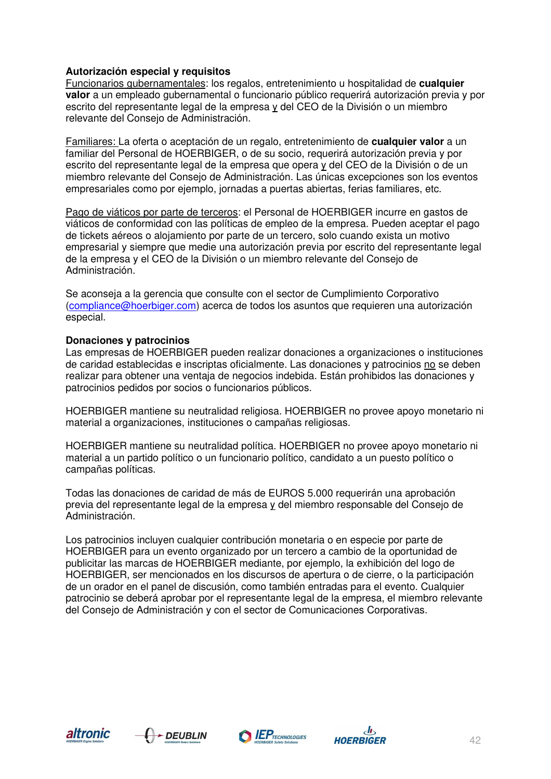# **Autorización especial y requisitos**

Funcionarios gubernamentales: los regalos, entretenimiento u hospitalidad de **cualquier valor** a un empleado gubernamental o funcionario público requerirá autorización previa y por escrito del representante legal de la empresa y del CEO de la División o un miembro relevante del Consejo de Administración.

Familiares: La oferta o aceptación de un regalo, entretenimiento de **cualquier valor** a un familiar del Personal de HOERBIGER, o de su socio, requerirá autorización previa y por escrito del representante legal de la empresa que opera y del CEO de la División o de un miembro relevante del Consejo de Administración. Las únicas excepciones son los eventos empresariales como por ejemplo, jornadas a puertas abiertas, ferias familiares, etc.

Pago de viáticos por parte de terceros: el Personal de HOERBIGER incurre en gastos de viáticos de conformidad con las políticas de empleo de la empresa. Pueden aceptar el pago de tickets aéreos o alojamiento por parte de un tercero, solo cuando exista un motivo empresarial y siempre que medie una autorización previa por escrito del representante legal de la empresa y el CEO de la División o un miembro relevante del Consejo de Administración.

Se aconseja a la gerencia que consulte con el sector de Cumplimiento Corporativo (compliance@hoerbiger.com) acerca de todos los asuntos que requieren una autorización especial.

# **Donaciones y patrocinios**

Las empresas de HOERBIGER pueden realizar donaciones a organizaciones o instituciones de caridad establecidas e inscriptas oficialmente. Las donaciones y patrocinios no se deben realizar para obtener una ventaja de negocios indebida. Están prohibidos las donaciones y patrocinios pedidos por socios o funcionarios públicos.

HOERBIGER mantiene su neutralidad religiosa. HOERBIGER no provee apoyo monetario ni material a organizaciones, instituciones o campañas religiosas.

HOERBIGER mantiene su neutralidad política. HOERBIGER no provee apoyo monetario ni material a un partido político o un funcionario político, candidato a un puesto político o campañas políticas.

Todas las donaciones de caridad de más de EUROS 5.000 requerirán una aprobación previa del representante legal de la empresa y del miembro responsable del Consejo de Administración.

Los patrocinios incluyen cualquier contribución monetaria o en especie por parte de HOERBIGER para un evento organizado por un tercero a cambio de la oportunidad de publicitar las marcas de HOERBIGER mediante, por ejemplo, la exhibición del logo de HOERBIGER, ser mencionados en los discursos de apertura o de cierre, o la participación de un orador en el panel de discusión, como también entradas para el evento. Cualquier patrocinio se deberá aprobar por el representante legal de la empresa, el miembro relevante del Consejo de Administración y con el sector de Comunicaciones Corporativas.







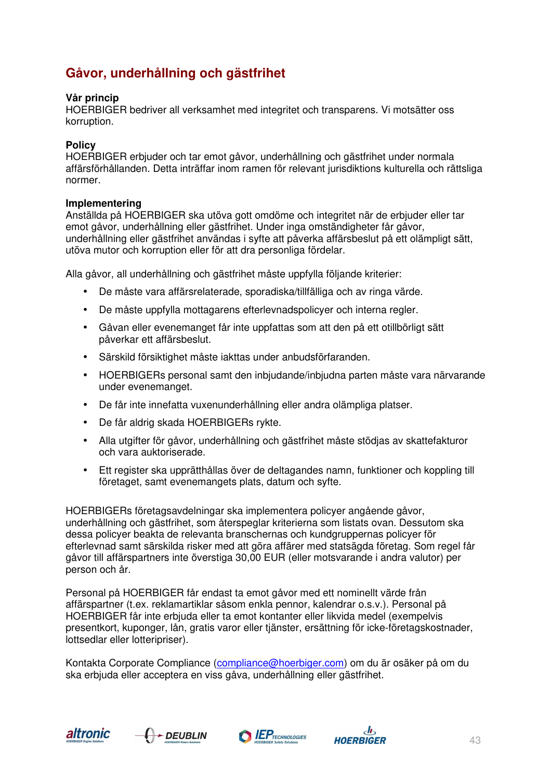# **Gåvor, underhållning och gästfrihet**

# **Vår princip**

HOERBIGER bedriver all verksamhet med integritet och transparens. Vi motsätter oss korruption.

# **Policy**

HOERBIGER erbjuder och tar emot gåvor, underhållning och gästfrihet under normala affärsförhållanden. Detta inträffar inom ramen för relevant jurisdiktions kulturella och rättsliga normer.

# **Implementering**

Anställda på HOERBIGER ska utöva gott omdöme och integritet när de erbjuder eller tar emot gåvor, underhållning eller gästfrihet. Under inga omständigheter får gåvor, underhållning eller gästfrihet användas i syfte att påverka affärsbeslut på ett olämpligt sätt, utöva mutor och korruption eller för att dra personliga fördelar.

Alla gåvor, all underhållning och gästfrihet måste uppfylla följande kriterier:

- De måste vara affärsrelaterade, sporadiska/tillfälliga och av ringa värde.
- De måste uppfylla mottagarens efterlevnadspolicyer och interna regler.
- Gåvan eller evenemanget får inte uppfattas som att den på ett otillbörligt sätt påverkar ett affärsbeslut.
- Särskild försiktighet måste iakttas under anbudsförfaranden.
- HOERBIGERs personal samt den inbjudande/inbjudna parten måste vara närvarande under evenemanget.
- De får inte innefatta vuxenunderhållning eller andra olämpliga platser.
- De får aldrig skada HOERBIGERs rykte.
- Alla utgifter för gåvor, underhållning och gästfrihet måste stödjas av skattefakturor och vara auktoriserade.
- Ett register ska upprätthållas över de deltagandes namn, funktioner och koppling till företaget, samt evenemangets plats, datum och syfte.

HOERBIGERs företagsavdelningar ska implementera policyer angående gåvor, underhållning och gästfrihet, som återspeglar kriterierna som listats ovan. Dessutom ska dessa policyer beakta de relevanta branschernas och kundgruppernas policyer för efterlevnad samt särskilda risker med att göra affärer med statsägda företag. Som regel får gåvor till affärspartners inte överstiga 30,00 EUR (eller motsvarande i andra valutor) per person och år.

Personal på HOERBIGER får endast ta emot gåvor med ett nominellt värde från affärspartner (t.ex. reklamartiklar såsom enkla pennor, kalendrar o.s.v.). Personal på HOERBIGER får inte erbjuda eller ta emot kontanter eller likvida medel (exempelvis presentkort, kuponger, lån, gratis varor eller tjänster, ersättning för icke-företagskostnader, lottsedlar eller lotteripriser).

Kontakta Corporate Compliance (compliance@hoerbiger.com) om du är osäker på om du ska erbjuda eller acceptera en viss gåva, underhållning eller gästfrihet.







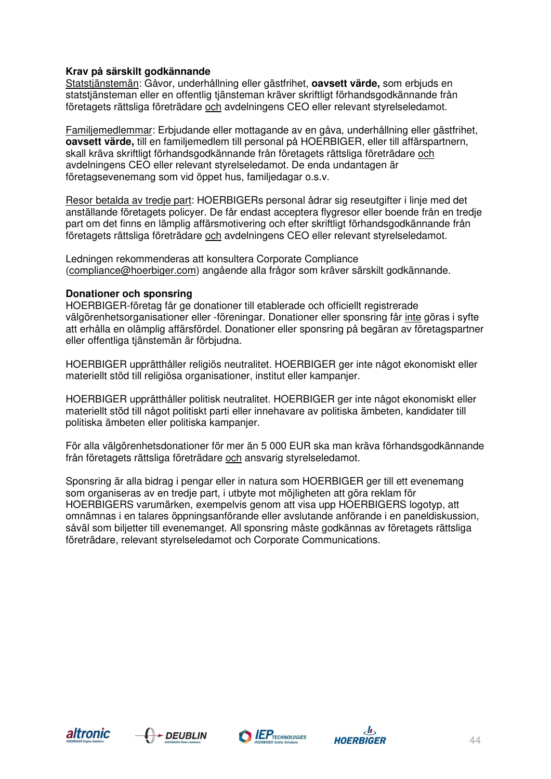# **Krav på särskilt godkännande**

Statstjänstemän: Gåvor, underhållning eller gästfrihet, **oavsett värde,** som erbjuds en statstjänsteman eller en offentlig tjänsteman kräver skriftligt förhandsgodkännande från företagets rättsliga företrädare och avdelningens CEO eller relevant styrelseledamot.

Familjemedlemmar: Erbjudande eller mottagande av en gåva, underhållning eller gästfrihet, **oavsett värde,** till en familjemedlem till personal på HOERBIGER, eller till affärspartnern, skall kräva skriftligt förhandsgodkännande från företagets rättsliga företrädare och avdelningens CEO eller relevant styrelseledamot. De enda undantagen är företagsevenemang som vid öppet hus, familjedagar o.s.v.

Resor betalda av tredje part: HOERBIGERs personal ådrar sig reseutgifter i linje med det anställande företagets policyer. De får endast acceptera flygresor eller boende från en tredje part om det finns en lämplig affärsmotivering och efter skriftligt förhandsgodkännande från företagets rättsliga företrädare och avdelningens CEO eller relevant styrelseledamot.

Ledningen rekommenderas att konsultera Corporate Compliance (compliance@hoerbiger.com) angående alla frågor som kräver särskilt godkännande.

## **Donationer och sponsring**

HOERBIGER-företag får ge donationer till etablerade och officiellt registrerade välgörenhetsorganisationer eller -föreningar. Donationer eller sponsring får inte göras i syfte att erhålla en olämplig affärsfördel. Donationer eller sponsring på begäran av företagspartner eller offentliga tjänstemän är förbjudna.

HOERBIGER upprätthåller religiös neutralitet. HOERBIGER ger inte något ekonomiskt eller materiellt stöd till religiösa organisationer, institut eller kampanjer.

HOERBIGER upprätthåller politisk neutralitet. HOERBIGER ger inte något ekonomiskt eller materiellt stöd till något politiskt parti eller innehavare av politiska ämbeten, kandidater till politiska ämbeten eller politiska kampanjer.

För alla välgörenhetsdonationer för mer än 5 000 EUR ska man kräva förhandsgodkännande från företagets rättsliga företrädare och ansvarig styrelseledamot.

Sponsring är alla bidrag i pengar eller in natura som HOERBIGER ger till ett evenemang som organiseras av en tredje part, i utbyte mot möjligheten att göra reklam för HOERBIGERS varumärken, exempelvis genom att visa upp HOERBIGERS logotyp, att omnämnas i en talares öppningsanförande eller avslutande anförande i en paneldiskussion, såväl som biljetter till evenemanget. All sponsring måste godkännas av företagets rättsliga företrädare, relevant styrelseledamot och Corporate Communications.







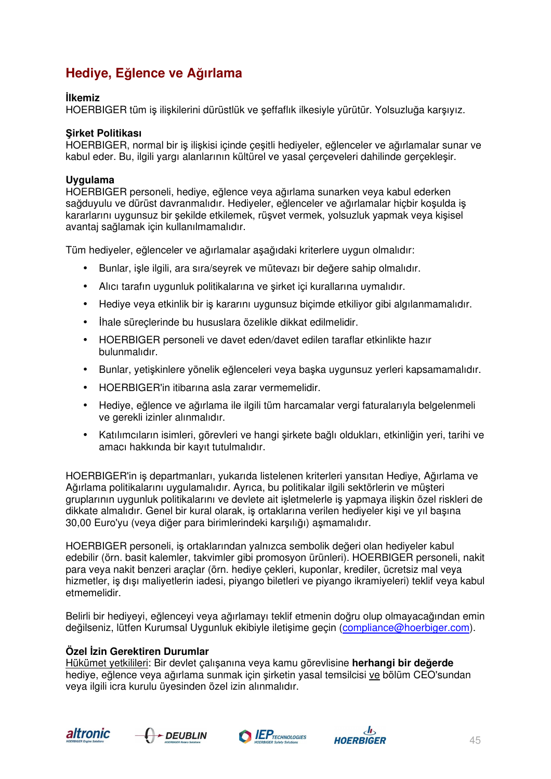# **Hediye, Eğlence ve Ağırlama**

# **İlkemiz**

HOERBIGER tüm iş ilişkilerini dürüstlük ve şeffaflık ilkesiyle yürütür. Yolsuzluğa karşıyız.

# **Şirket Politikası**

HOERBIGER, normal bir iş ilişkisi içinde çeşitli hediyeler, eğlenceler ve ağırlamalar sunar ve kabul eder. Bu, ilgili yargı alanlarının kültürel ve yasal çerçeveleri dahilinde gerçekleşir.

# **Uygulama**

HOERBIGER personeli, hediye, eğlence veya ağırlama sunarken veya kabul ederken sağduyulu ve dürüst davranmalıdır. Hediyeler, eğlenceler ve ağırlamalar hiçbir koşulda iş kararlarını uygunsuz bir şekilde etkilemek, rüşvet vermek, yolsuzluk yapmak veya kişisel avantaj sağlamak için kullanılmamalıdır.

Tüm hediyeler, eğlenceler ve ağırlamalar aşağıdaki kriterlere uygun olmalıdır:

- Bunlar, işle ilgili, ara sıra/seyrek ve mütevazı bir değere sahip olmalıdır.
- Alıcı tarafın uygunluk politikalarına ve şirket içi kurallarına uymalıdır.
- Hediye veya etkinlik bir iş kararını uygunsuz biçimde etkiliyor gibi algılanmamalıdır.
- İhale süreçlerinde bu hususlara özelikle dikkat edilmelidir.
- HOERBIGER personeli ve davet eden/davet edilen taraflar etkinlikte hazır bulunmalıdır.
- Bunlar, yetişkinlere yönelik eğlenceleri veya başka uygunsuz yerleri kapsamamalıdır.
- HOERBIGER'in itibarına asla zarar vermemelidir.
- Hediye, eğlence ve ağırlama ile ilgili tüm harcamalar vergi faturalarıyla belgelenmeli ve gerekli izinler alınmalıdır.
- Katılımcıların isimleri, görevleri ve hangi şirkete bağlı oldukları, etkinliğin yeri, tarihi ve amacı hakkında bir kayıt tutulmalıdır.

HOERBIGER'in iş departmanları, yukarıda listelenen kriterleri yansıtan Hediye, Ağırlama ve Ağırlama politikalarını uygulamalıdır. Ayrıca, bu politikalar ilgili sektörlerin ve müşteri gruplarının uygunluk politikalarını ve devlete ait işletmelerle iş yapmaya ilişkin özel riskleri de dikkate almalıdır. Genel bir kural olarak, iş ortaklarına verilen hediyeler kişi ve yıl başına 30,00 Euro'yu (veya diğer para birimlerindeki karşılığı) aşmamalıdır.

HOERBIGER personeli, iş ortaklarından yalnızca sembolik değeri olan hediyeler kabul edebilir (örn. basit kalemler, takvimler gibi promosyon ürünleri). HOERBIGER personeli, nakit para veya nakit benzeri araçlar (örn. hediye çekleri, kuponlar, krediler, ücretsiz mal veya hizmetler, iş dışı maliyetlerin iadesi, piyango biletleri ve piyango ikramiyeleri) teklif veya kabul etmemelidir.

Belirli bir hediyeyi, eğlenceyi veya ağırlamayı teklif etmenin doğru olup olmayacağından emin değilseniz, lütfen Kurumsal Uygunluk ekibiyle iletişime geçin (compliance@hoerbiger.com).

# **Özel İzin Gerektiren Durumlar**

Hükümet yetkilileri: Bir devlet çalışanına veya kamu görevlisine **herhangi bir değerde** hediye, eğlence veya ağırlama sunmak için şirketin yasal temsilcisi ve bölüm CEO'sundan veya ilgili icra kurulu üyesinden özel izin alınmalıdır.







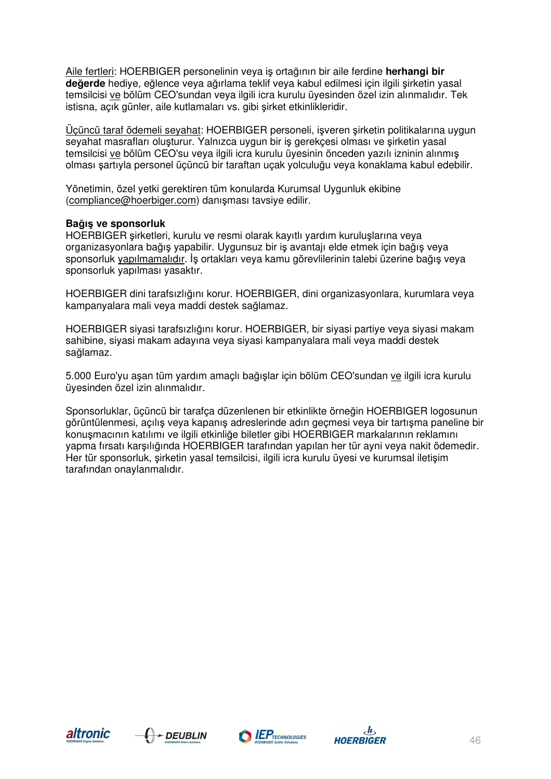Aile fertleri: HOERBIGER personelinin veya iş ortağının bir aile ferdine **herhangi bir değerde** hediye, eğlence veya ağırlama teklif veya kabul edilmesi için ilgili şirketin yasal temsilcisi ve bölüm CEO'sundan veya ilgili icra kurulu üyesinden özel izin alınmalıdır. Tek istisna, açık günler, aile kutlamaları vs. gibi şirket etkinlikleridir.

Üçüncü taraf ödemeli seyahat: HOERBIGER personeli, işveren şirketin politikalarına uygun seyahat masrafları oluşturur. Yalnızca uygun bir iş gerekçesi olması ve şirketin yasal temsilcisi ve bölüm CEO'su veya ilgili icra kurulu üyesinin önceden yazılı izninin alınmış olması şartıyla personel üçüncü bir taraftan uçak yolculuğu veya konaklama kabul edebilir.

Yönetimin, özel yetki gerektiren tüm konularda Kurumsal Uygunluk ekibine (compliance@hoerbiger.com) danışması tavsiye edilir.

## **Bağış ve sponsorluk**

HOERBIGER şirketleri, kurulu ve resmi olarak kayıtlı yardım kuruluşlarına veya organizasyonlara bağış yapabilir. Uygunsuz bir iş avantajı elde etmek için bağış veya sponsorluk yapılmamalıdır. İş ortakları veya kamu görevlilerinin talebi üzerine bağış veya sponsorluk yapılması yasaktır.

HOERBIGER dini tarafsızlığını korur. HOERBIGER, dini organizasyonlara, kurumlara veya kampanyalara mali veya maddi destek sağlamaz.

HOERBIGER siyasi tarafsızlığını korur. HOERBIGER, bir siyasi partiye veya siyasi makam sahibine, siyasi makam adayına veya siyasi kampanyalara mali veya maddi destek sağlamaz.

5.000 Euro'yu aşan tüm yardım amaçlı bağışlar için bölüm CEO'sundan ve ilgili icra kurulu üyesinden özel izin alınmalıdır.

Sponsorluklar, üçüncü bir tarafça düzenlenen bir etkinlikte örneğin HOERBIGER logosunun görüntülenmesi, açılış veya kapanış adreslerinde adın geçmesi veya bir tartışma paneline bir konuşmacının katılımı ve ilgili etkinliğe biletler gibi HOERBIGER markalarının reklamını yapma fırsatı karşılığında HOERBIGER tarafından yapılan her tür ayni veya nakit ödemedir. Her tür sponsorluk, şirketin yasal temsilcisi, ilgili icra kurulu üyesi ve kurumsal iletişim tarafından onaylanmalıdır.







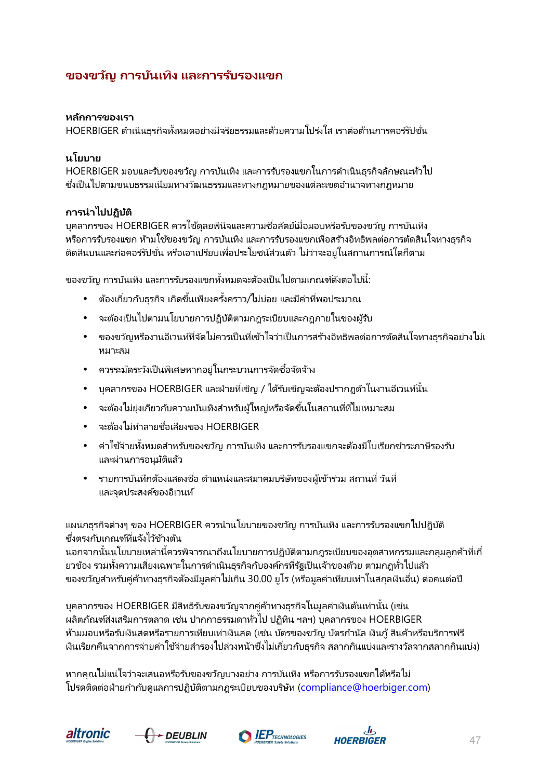# **ของขวัญ การบันเทิง และการรับรองแขก**

# **หลักการของเรา**

HOERBIGER ดำเนินธุรกิจทั้งหมดอย่างมีจริยธรรมและด้วยความโปร่งใส เราต่อต้านการคอร์รัปชั่น

# **นโยบาย**

HOERBIGER มอบและรับของขวัญ การบันเทิง และการรับรองแขกในการดำเนินธรกิจลักษณะทั่วไป ซึ่งเป็นไปตามขนบธรรมเนียมทางวัฒนธรรมและทางกฎหมายของแต่ละเขตอำนาจทางกฎหมาย

# **การนําไปปฏิบัติ**

บคลากรของ HOERBIGER ควรใช้ดลยพินิจและความซื่อสัตย์เมื่อมอบหรือรับของขวัญ การบันเทิง หรือการรับรองแขก ห้ามใช้ของขวัญ การบันเทิง และการรับรองแขกเพื่อสร้างอิทธิพลต่อการตัดสินใจทางธรกิจ ติดสินบนและก่อคอร์รัปชั่น หรือเอาเปรียบเพื่อประโยชน์ส่วนตัว ไม่ว่าจะอยู่ในสถานการณ์ใดก็ตาม

ของขวัญ การบันเทิง และการรับรองแขกทั้งหมดจะต้องเป็นไปตามเกณฑ์ดังต่อไปนี้:

- ต้องเกี่ยวกับธรกิจ เกิดขึ้นเพียงครั้งคราว/ไม่บ่อย และมีค่าที่พอประมาณ
- จะต้องเป็นไปตามนโยบายการปฏิบัติตามกฎระเบียบและกฎภายในของผู้รับ
- ของขวัญหรืองานอีเวนท์ที่จัดไม่ควรเป็นที่เข้าใจว่าเป็นการสร้างอิทธิพลต่อการตัดสินใจทางธุรกิจอย่างไม่เ หมาะสม
- ควรระมัดระวังเป็นพิเศษหากอย่ในกระบวนการจัดซื้อจัดจ้าง
- บุคลากรของ HOERBIGER และฝ่ายที. เชิญ / ได้รับเชิญจะต้องปรากฏตัวในงานอีเวนท์นัน
- ้จะต้องไม่ยุ่งเกี่ยวกับความบันเทิงสำหรับผู้ใหญ่หรือจัดขึ้นในสถานที่ที่ไม่เหมาะสม
- จะต้องไม่ทําลายชือเสียงของ HOERBIGER .
- ค่าใช ้จ่ายทังหมดสําหรับของขวัญ การบันเทิง และการรับรองแขกจะต้องมีใบเรียกชําระภาษีรองรับ และผ่านการอนุมัติแล้ว
- $\bullet$  รายการบันทึกต้องแสดงชื่อ ตำแหน่งและสมาคมบริษัทของผู้เข้าร่วม สถานที่ วันที่ และจุดประสงค์ของอีเวนท์

แผนกธุรกิจต่างๆ ของ HOERBIGER ควรนํานโยบายของขวัญ การบันเทิง และการรับรองแขกไปปฏิบัติ ซึ.งตรงกับเกณฑ์ทีแจ้งไว้ข้างต้น .

นอกจากนั้นนโยบายเหล่านี้ควรพิจารณาถึงนโยบายการปฏิบัติตามกฎระเบียบของอุตสาหกรรมและกลุ่มลูกค้าที่เกี่ ี่ ยวข้อง รวมทั้งความเสี่ยงเฉพาะในการดำเนินธรกิจกับองค์กรที่รัฐเป็นเจ้าของด้วย ตามกฎทั่วไปแล้ว ของขวัญสําหรับคู่ค้าทางธุรกิจต้องมีมูลค่าไม่เกิน 30.00 ยูโร (หรือมูลค่าเทียบเท่าในสกุลเงินอืน) ต่อคนต่อปี .

บุคลากรของ HOERBIGER มีสิทธิรับของขวัญจากคู่ค้าทางธุรกิจในมูลค่าเงินต้นเท่านัน (เช่น ี ผลิตภัณฑ์ส่งเสริมการตลาด เช่น ปากกาธรรมดาทั่วไป ปฏิทิน ฯลฯ) บุคลากรของ HOERBIGER ห้ามมอบหรือรับเงินสดหรือรายการเทียบเท่าเงินสด (เช่น บัตรของขวัญ บัตรกำนัล เงินกู้ สินค้าหรือบริการฟรี เงินเรียกคืนจากการจ่ายค่าใช้จ่ายสำรองไปล่วงหน้าซึ่งไม่เกี่ยวกับธรกิจ สลากกินแบ่งและรางวัลจากสลากกินแบ่ง)

หากคุณไม่แน่ใจว่าจะเสนอหรือรับของขวัญบางอย่าง การบันเทิง หรือการรับรองแขกได้หรือไม่ โปรดติดต่อฝ่ายกํากับดูแลการปฏิบัติตามกฎระเบียบของบริษัท (compliance@hoerbiger.com)







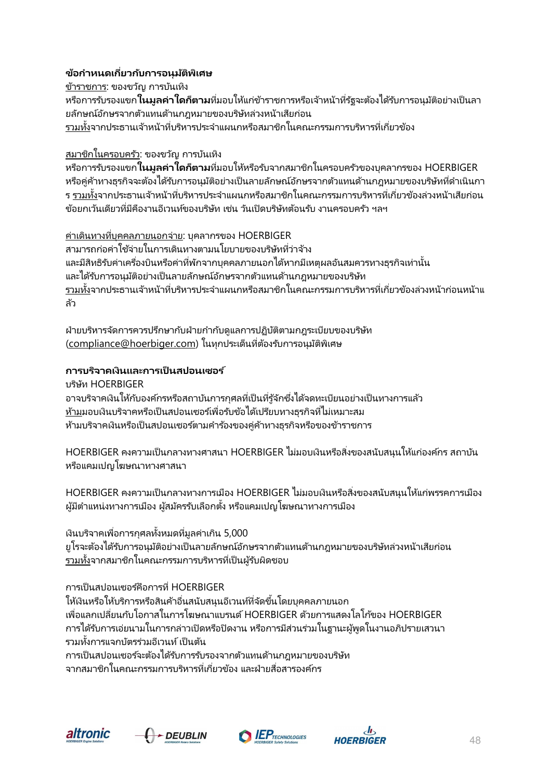# **ข้อกําหนดเกียวกับการอนุมัติพิเศษ**

ข้าราชการ: ของขวัญ การบันเทิง หรือการรับรองแขก**ในมลค่าใดก็ตาม**ที่มอบให้แก่ข้าราชการหรือเจ้าหน้าที่รัฐจะต้องได้รับการอนุมัติอย่างเป็นลา ยลักษณ์อักษรจากตัวแทนด้านกฎหมายของบริษัทล่วงหน้าเสียก่อน <u>รวมทั้ง</u>จากประธานเจ้าหน้าที่บริหารประจำแผนกหรือสมาชิกในคณะกรรมการบริหารที่เกี่ยวข้อง

สมาชิกในครอบครัว: ของขวัญ การบันเทิง

หรือการรับรองแขก**ในมลค่าใดก็ตาม**ที่มอบให้หรือรับจากสมาชิกในครอบครัวของบคลากรของ HOERBIGER หรือค่ค้าทางธุรกิจจะต้องได้รับการอนุมัติอย่างเป็นลายลักษณ์อักษรจากตัวแทนด้านกฎหมายของบริษัทที่ดำเนินกา ร <u>รวมทั้ง</u>จากประธานเจ้าหน้าที่บริหารประจำแผนกหรือสมาชิกในคณะกรรมการบริหารที่เกี่ยวข้องล่วงหน้าเสียก่อน ข้อยกเว้นเดียวที่มีคืองานอีเวนท์ของบริษัท เช่น วันเปิดบริษัทต้อนรับ งานครอบครัว ฯลฯ

ค่าเดินทางทีบุคคลภายนอกจ่าย: บุคลากรของ HOERBIGER . สามารถก่อค่าใช้จ่ายในการเดินทางตามนโยบายของบริษัทที่ว่าจ้าง และมีสิทธิรับค่าเครื่องบินหรือค่าที่พักจากบุคคลภายนอกได้หากมีเหตุผลอันสมควรทางธุรกิจเท่านั้น และได้รับการอนุมัติอย่างเป็ นลายลักษณ์อักษรจากตัวแทนด้านกฎหมายของบริษัท <u>รวมทั้ง</u>จากประธานเจ้าหน้าที่บริหารประจำแผนกหรือสมาชิกในคณะกรรมการบริหารที่เกี่ยวข้องล่วงหน้าก่อนหน้าแ ล้ว

ฝ่ายบริหารจัดการควรปรึกษากับฝ่ายกํากับดูแลการปฏิบัติตามกฎระเบียบของบริษัท (compliance@hoerbiger.com) ในทุกประเด็นทีต้องรับการอนุมัติพิเศษ .

# **การบริจาคเงินและการเป็ นสปอนเซอร ์**

บริษัท HOERBIGER

อาจบริจาคเงินให้กับองค์กรหรือสถาบันการกุศลที่เป็นที่รู้จักซึ่งได้จดทะเบียนอย่างเป็นทางการแล้ว ห้ามมอบเงินบริจาคหรือเป็นสปอนเซอร์เพื่อรับข้อได้เปรียบทางธรกิจที่ไม่เหมาะสม ห้ามบริจาคเงินหรือเป็นสปอนเซอร์ตามคำร้องของค่ค้าทางธรกิจหรือของข้าราชการ

HOERBIGER คงความเป็นกลางทางศาสนา HOERBIGER ไม่มอบเงินหรือสิ่งของสนับสนุนให้แก่องค์กร สถาบัน หรือแคมเปญโฆษณาทางศาสนา

HOERBIGER คงความเป็ นกลางทางการเมือง HOERBIGER ไม่มอบเงินหรือสิ.งของสนับสนุนให้แก่พรรคการเมือง ผู้มีตําแหน่งทางการเมือง ผู้สมัครรับเลือกตัง หรือแคมเปญโฆษณาทางการเมือง

เงินบริจาคเพื่อการกศลทั้งหมดที่มลค่าเกิน 5,000

ยูโรจะต้องได้รับการอนุมัติอย่างเป็ นลายลักษณ์อักษรจากตัวแทนด้านกฎหมายของบริษัทล่วงหน้าเสียก่อน <u>รวมหั้ง</u>จากสมาชิกในคณะกรรมการบริหารที่เป็นผู้รับผิดชอบ

การเป็นสปอนเซอร์คือการที่ HOERBIGER

ให้เงินหรือให้บริการหรือสินค้าอื่นสนับสนุนอีเวนท์ที่จัดขึ้นโดยบุคคลภายนอก ู้เพื่อแลกเปลี่ยนกับโอกาสในการโฆษณาแบรนด์ HOERBIGER ด้วยการแสดงโลโก้ของ HOERBIGER การได้รับการเอ่ยนามในการกล่าวเปิดหรือปิดงาน หรือการมีส่วนร่วมในฐานะผู้พูดในงานอภิปรายเสวนา ้รวมทั้งการแจกบัตรร่วมอีเวนท์ เป็นต้น

การเป็ นสปอนเซอร ์จะต้องได้รับการรับรองจากตัวแทนด้านกฎหมายของบริษัท

จากสมาชิกในคณะกรรมการบริหารที่เกี่ยวข้อง และฝ่ายสื่อสารองค์กร







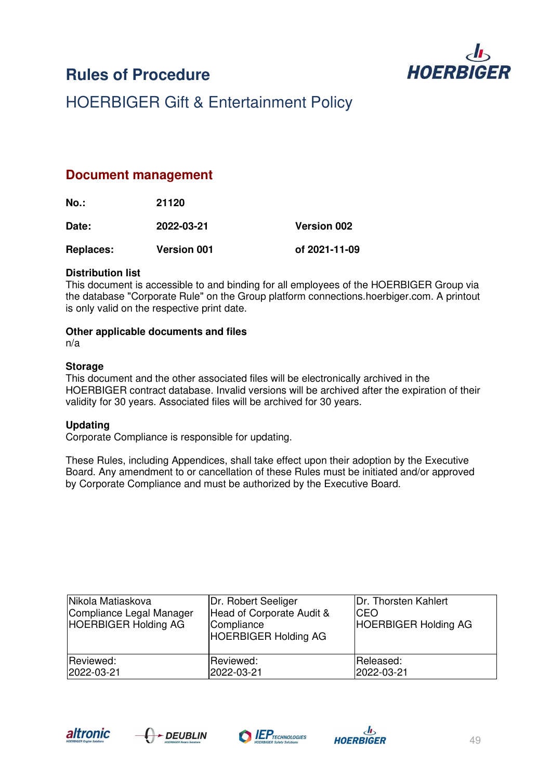# **Rules of Procedure**



# HOERBIGER Gift & Entertainment Policy

# **Document management**

**No.: 21120** 

**Date: 2022-03-21 Version 002** 

**Replaces: Version 001 of 2021-11-09** 

# **Distribution list**

This document is accessible to and binding for all employees of the HOERBIGER Group via the database "Corporate Rule" on the Group platform connections.hoerbiger.com. A printout is only valid on the respective print date.

# **Other applicable documents and files**

n/a

# **Storage**

This document and the other associated files will be electronically archived in the HOERBIGER contract database. Invalid versions will be archived after the expiration of their validity for 30 years. Associated files will be archived for 30 years.

# **Updating**

Corporate Compliance is responsible for updating.

These Rules, including Appendices, shall take effect upon their adoption by the Executive Board. Any amendment to or cancellation of these Rules must be initiated and/or approved by Corporate Compliance and must be authorized by the Executive Board.

| Nikola Matiaskova<br>Compliance Legal Manager<br><b>HOERBIGER Holding AG</b> | Dr. Robert Seeliger<br>Head of Corporate Audit &<br>Compliance<br><b>HOERBIGER Holding AG</b> | Dr. Thorsten Kahlert<br>ICEO<br><b>HOERBIGER Holding AG</b> |
|------------------------------------------------------------------------------|-----------------------------------------------------------------------------------------------|-------------------------------------------------------------|
| Reviewed:<br>2022-03-21                                                      | Reviewed:<br>2022-03-21                                                                       | Released:<br>2022-03-21                                     |
|                                                                              |                                                                                               |                                                             |